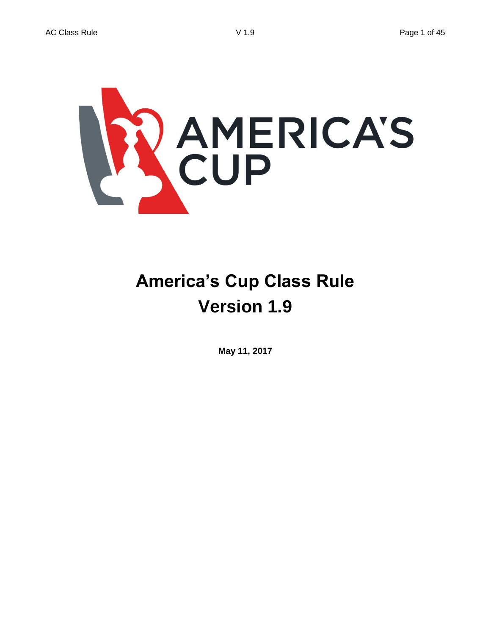

# **America's Cup Class Rule Version 1.9**

**May 11, 2017**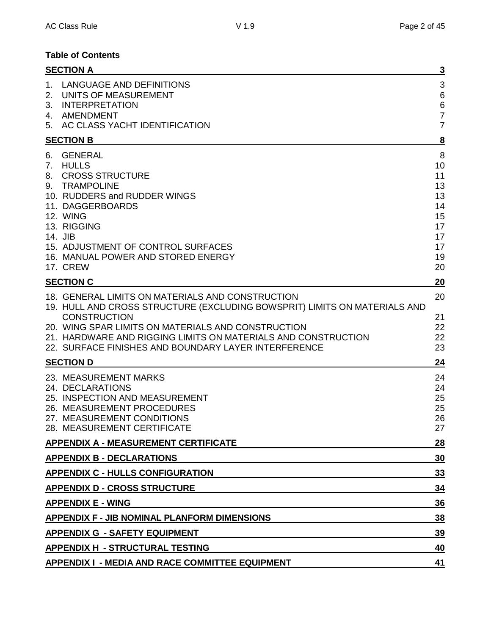## **Table of Contents**

|                | <b>SECTION A</b>                                                                                                                                                                                                                                                                                                                    |                                                                                    |
|----------------|-------------------------------------------------------------------------------------------------------------------------------------------------------------------------------------------------------------------------------------------------------------------------------------------------------------------------------------|------------------------------------------------------------------------------------|
| 1.<br>2.<br>3. | LANGUAGE AND DEFINITIONS<br>UNITS OF MEASUREMENT<br><b>INTERPRETATION</b><br>4. AMENDMENT<br>5. AC CLASS YACHT IDENTIFICATION                                                                                                                                                                                                       | $\mathbf{3}$<br>$6\phantom{1}6$<br>$\,$ 6 $\,$<br>$\overline{7}$<br>$\overline{7}$ |
|                | <b>SECTION B</b>                                                                                                                                                                                                                                                                                                                    | 8                                                                                  |
| 6.<br>7.<br>8. | <b>GENERAL</b><br><b>HULLS</b><br><b>CROSS STRUCTURE</b><br>9. TRAMPOLINE<br>10. RUDDERS and RUDDER WINGS<br>11. DAGGERBOARDS<br>12. WING<br>13. RIGGING<br>14. JIB<br>15. ADJUSTMENT OF CONTROL SURFACES<br>16. MANUAL POWER AND STORED ENERGY                                                                                     | 8<br>10<br>11<br>13<br>13<br>14<br>15<br>17<br>17<br>17<br>19                      |
|                | 17. CREW<br><b>SECTION C</b>                                                                                                                                                                                                                                                                                                        | 20<br>20                                                                           |
|                | 18. GENERAL LIMITS ON MATERIALS AND CONSTRUCTION<br>19. HULL AND CROSS STRUCTURE (EXCLUDING BOWSPRIT) LIMITS ON MATERIALS AND<br><b>CONSTRUCTION</b><br>20. WING SPAR LIMITS ON MATERIALS AND CONSTRUCTION<br>21. HARDWARE AND RIGGING LIMITS ON MATERIALS AND CONSTRUCTION<br>22. SURFACE FINISHES AND BOUNDARY LAYER INTERFERENCE | 20<br>21<br>22<br>22<br>23                                                         |
|                | <b>SECTION D</b>                                                                                                                                                                                                                                                                                                                    | 24                                                                                 |
|                | 23. MEASUREMENT MARKS<br>24. DECLARATIONS<br>25. INSPECTION AND MEASUREMENT<br>26. MEASUREMENT PROCEDURES<br>27. MEASUREMENT CONDITIONS<br>28. MEASUREMENT CERTIFICATE                                                                                                                                                              | 24<br>24<br>25<br>25<br>26<br>27                                                   |
|                | <b>APPENDIX A - MEASUREMENT CERTIFICATE</b>                                                                                                                                                                                                                                                                                         | 28                                                                                 |
|                | <b>APPENDIX B - DECLARATIONS</b>                                                                                                                                                                                                                                                                                                    | 30                                                                                 |
|                | <b>APPENDIX C - HULLS CONFIGURATION</b>                                                                                                                                                                                                                                                                                             | <u>33</u>                                                                          |
|                | <b>APPENDIX D - CROSS STRUCTURE</b>                                                                                                                                                                                                                                                                                                 | 34                                                                                 |
|                | <b>APPENDIX E - WING</b><br>36                                                                                                                                                                                                                                                                                                      |                                                                                    |
|                | APPENDIX F - JIB NOMINAL PLANFORM DIMENSIONS<br>38                                                                                                                                                                                                                                                                                  |                                                                                    |
|                | <b>APPENDIX G - SAFETY EQUIPMENT</b><br><u>39</u>                                                                                                                                                                                                                                                                                   |                                                                                    |
|                | <b>APPENDIX H - STRUCTURAL TESTING</b>                                                                                                                                                                                                                                                                                              |                                                                                    |
|                | <b>APPENDIX I - MEDIA AND RACE COMMITTEE EQUIPMENT</b>                                                                                                                                                                                                                                                                              | 41                                                                                 |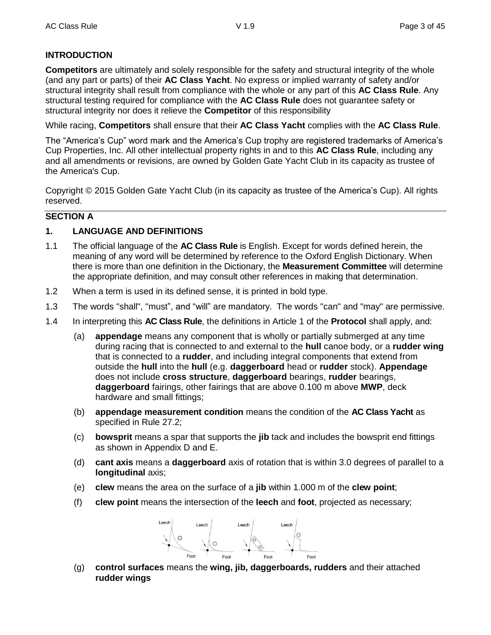## **INTRODUCTION**

**Competitors** are ultimately and solely responsible for the safety and structural integrity of the whole (and any part or parts) of their **AC Class Yacht**. No express or implied warranty of safety and/or structural integrity shall result from compliance with the whole or any part of this **AC Class Rule**. Any structural testing required for compliance with the **AC Class Rule** does not guarantee safety or structural integrity nor does it relieve the **Competitor** of this responsibility

While racing, **Competitors** shall ensure that their **AC Class Yacht** complies with the **AC Class Rule**.

The "America's Cup" word mark and the America's Cup trophy are registered trademarks of America's Cup Properties, Inc. All other intellectual property rights in and to this **AC Class Rule**, including any and all amendments or revisions, are owned by Golden Gate Yacht Club in its capacity as trustee of the America's Cup.

Copyright © 2015 Golden Gate Yacht Club (in its capacity as trustee of the America's Cup). All rights reserved.

#### **SECTION A**

#### **1. LANGUAGE AND DEFINITIONS**

- 1.1 The official language of the **AC Class Rule** is English. Except for words defined herein, the meaning of any word will be determined by reference to the Oxford English Dictionary. When there is more than one definition in the Dictionary, the **Measurement Committee** will determine the appropriate definition, and may consult other references in making that determination.
- 1.2 When a term is used in its defined sense, it is printed in bold type.
- 1.3 The words "shall", "must", and "will" are mandatory. The words "can" and "may" are permissive.
- 1.4 In interpreting this **AC Class Rule**, the definitions in Article 1 of the **Protocol** shall apply, and:
	- (a) **appendage** means any component that is wholly or partially submerged at any time during racing that is connected to and external to the **hull** canoe body, or a **rudder wing** that is connected to a **rudder**, and including integral components that extend from outside the **hull** into the **hull** (e.g. **daggerboard** head or **rudder** stock). **Appendage** does not include **cross structure**, **daggerboard** bearings, **rudder** bearings, **daggerboard** fairings, other fairings that are above 0.100 m above **MWP**, deck hardware and small fittings;
	- (b) **appendage measurement condition** means the condition of the **AC Class Yacht** as specified in Rule 27.2;
	- (c) **bowsprit** means a spar that supports the **jib** tack and includes the bowsprit end fittings as shown in Appendix D and E.
	- (d) **cant axis** means a **daggerboard** axis of rotation that is within 3.0 degrees of parallel to a **longitudinal** axis;
	- (e) **clew** means the area on the surface of a **jib** within 1.000 m of the **clew point**;
	- (f) **clew point** means the intersection of the **leech** and **foot**, projected as necessary;



(g) **control surfaces** means the **wing, jib, daggerboards, rudders** and their attached **rudder wings**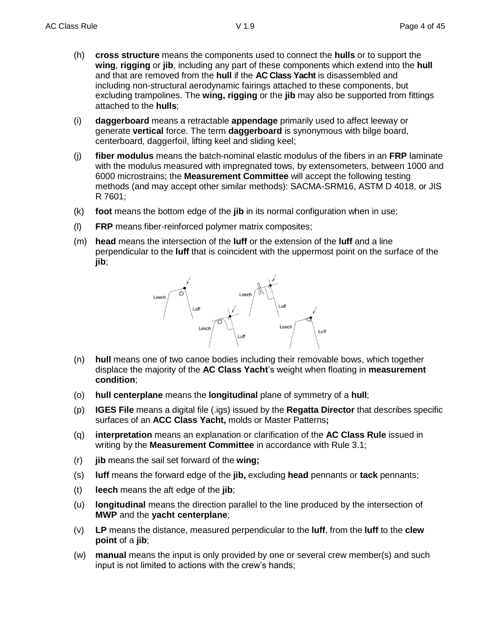- (h) **cross structure** means the components used to connect the **hulls** or to support the **wing**, **rigging** or **jib**, including any part of these components which extend into the **hull** and that are removed from the **hull** if the **AC Class Yacht** is disassembled and including non-structural aerodynamic fairings attached to these components, but excluding trampolines. The **wing, rigging** or the **jib** may also be supported from fittings attached to the **hulls**;
- (i) **daggerboard** means a retractable **appendage** primarily used to affect leeway or generate **vertical** force. The term **daggerboard** is synonymous with bilge board, centerboard, daggerfoil, lifting keel and sliding keel;
- (j) **fiber modulus** means the batch-nominal elastic modulus of the fibers in an **FRP** laminate with the modulus measured with impregnated tows, by extensometers, between 1000 and 6000 microstrains; the **Measurement Committee** will accept the following testing methods (and may accept other similar methods): SACMA-SRM16, ASTM D 4018, or JIS R 7601;
- (k) **foot** means the bottom edge of the **jib** in its normal configuration when in use;
- (l) **FRP** means fiber-reinforced polymer matrix composites;
- (m) **head** means the intersection of the **luff** or the extension of the **luff** and a line perpendicular to the **luff** that is coincident with the uppermost point on the surface of the **jib**;



- (n) **hull** means one of two canoe bodies including their removable bows, which together displace the majority of the **AC Class Yacht**'s weight when floating in **measurement condition**;
- (o) **hull centerplane** means the **longitudinal** plane of symmetry of a **hull**;
- (p) **IGES File** means a digital file (.igs) issued by the **Regatta Director** that describes specific surfaces of an **ACC Class Yacht,** molds or Master Patterns**;**
- (q) **interpretation** means an explanation or clarification of the **AC Class Rule** issued in writing by the **Measurement Committee** in accordance with Rule 3.1;
- (r) **jib** means the sail set forward of the **wing;**
- (s) **luff** means the forward edge of the **jib,** excluding **head** pennants or **tack** pennants;
- (t) **leech** means the aft edge of the **jib**;
- (u) **longitudinal** means the direction parallel to the line produced by the intersection of **MWP** and the **yacht centerplane**;
- (v) **LP** means the distance, measured perpendicular to the **luff**, from the **luff** to the **clew point** of a **jib**;
- (w) **manual** means the input is only provided by one or several crew member(s) and such input is not limited to actions with the crew's hands;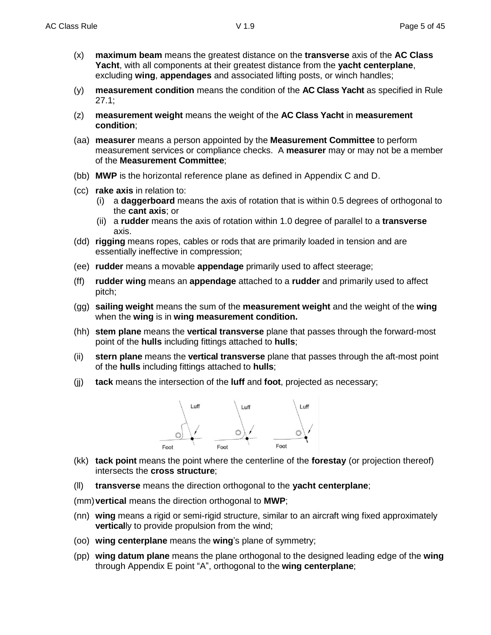- (x) **maximum beam** means the greatest distance on the **transverse** axis of the **AC Class Yacht**, with all components at their greatest distance from the **yacht centerplane**, excluding **wing**, **appendages** and associated lifting posts, or winch handles;
- (y) **measurement condition** means the condition of the **AC Class Yacht** as specified in Rule 27.1;
- (z) **measurement weight** means the weight of the **AC Class Yacht** in **measurement condition**;
- (aa) **measurer** means a person appointed by the **Measurement Committee** to perform measurement services or compliance checks. A **measurer** may or may not be a member of the **Measurement Committee**;
- (bb) **MWP** is the horizontal reference plane as defined in Appendix C and D.
- (cc) **rake axis** in relation to:
	- (i) a **daggerboard** means the axis of rotation that is within 0.5 degrees of orthogonal to the **cant axis**; or
	- (ii) a **rudder** means the axis of rotation within 1.0 degree of parallel to a **transverse** axis.
- (dd) **rigging** means ropes, cables or rods that are primarily loaded in tension and are essentially ineffective in compression;
- (ee) **rudder** means a movable **appendage** primarily used to affect steerage;
- (ff) **rudder wing** means an **appendage** attached to a **rudder** and primarily used to affect pitch;
- (gg) **sailing weight** means the sum of the **measurement weight** and the weight of the **wing** when the **wing** is in **wing measurement condition.**
- (hh) **stem plane** means the **vertical transverse** plane that passes through the forward-most point of the **hulls** including fittings attached to **hulls**;
- (ii) **stern plane** means the **vertical transverse** plane that passes through the aft-most point of the **hulls** including fittings attached to **hulls**;
- (jj) **tack** means the intersection of the **luff** and **foot**, projected as necessary;



- (kk) **tack point** means the point where the centerline of the **forestay** (or projection thereof) intersects the **cross structure**;
- (ll) **transverse** means the direction orthogonal to the **yacht centerplane**;
- (mm)**vertical** means the direction orthogonal to **MWP**;
- (nn) **wing** means a rigid or semi-rigid structure, similar to an aircraft wing fixed approximately **vertical**ly to provide propulsion from the wind;
- (oo) **wing centerplane** means the **wing**'s plane of symmetry;
- (pp) **wing datum plane** means the plane orthogonal to the designed leading edge of the **wing** through Appendix E point "A", orthogonal to the **wing centerplane**;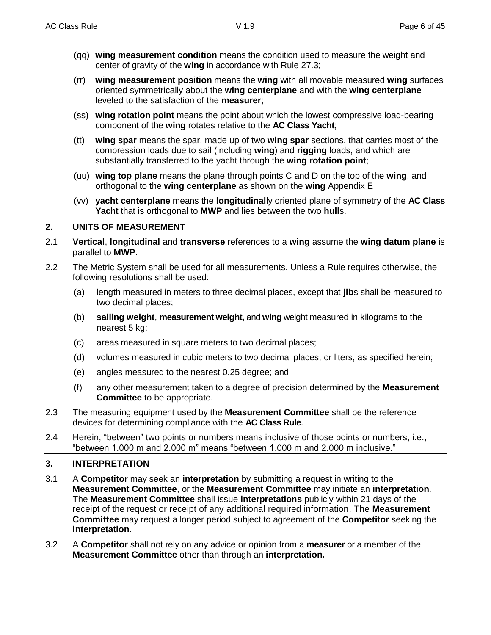- (qq) **wing measurement condition** means the condition used to measure the weight and center of gravity of the **wing** in accordance with Rule 27.3;
- (rr) **wing measurement position** means the **wing** with all movable measured **wing** surfaces oriented symmetrically about the **wing centerplane** and with the **wing centerplane** leveled to the satisfaction of the **measurer**;
- (ss) **wing rotation point** means the point about which the lowest compressive load-bearing component of the **wing** rotates relative to the **AC Class Yacht**;
- (tt) **wing spar** means the spar, made up of two **wing spar** sections, that carries most of the compression loads due to sail (including **wing**) and **rigging** loads, and which are substantially transferred to the yacht through the **wing rotation point**;
- (uu) **wing top plane** means the plane through points C and D on the top of the **wing**, and orthogonal to the **wing centerplane** as shown on the **wing** Appendix E
- (vv) **yacht centerplane** means the **longitudinal**ly oriented plane of symmetry of the **AC Class Yacht** that is orthogonal to **MWP** and lies between the two **hull**s.

#### **2. UNITS OF MEASUREMENT**

- 2.1 **Vertical**, **longitudinal** and **transverse** references to a **wing** assume the **wing datum plane** is parallel to **MWP**.
- 2.2 The Metric System shall be used for all measurements. Unless a Rule requires otherwise, the following resolutions shall be used:
	- (a) length measured in meters to three decimal places, except that **jib**s shall be measured to two decimal places;
	- (b) **sailing weight**, **measurement weight,** and **wing** weight measured in kilograms to the nearest 5 kg;
	- (c) areas measured in square meters to two decimal places;
	- (d) volumes measured in cubic meters to two decimal places, or liters, as specified herein;
	- (e) angles measured to the nearest 0.25 degree; and
	- (f) any other measurement taken to a degree of precision determined by the **Measurement Committee** to be appropriate.
- 2.3 The measuring equipment used by the **Measurement Committee** shall be the reference devices for determining compliance with the **AC Class Rule**.
- 2.4 Herein, "between" two points or numbers means inclusive of those points or numbers, i.e., "between 1.000 m and 2.000 m" means "between 1.000 m and 2.000 m inclusive."

#### **3. INTERPRETATION**

- 3.1 A **Competitor** may seek an **interpretation** by submitting a request in writing to the **Measurement Committee**, or the **Measurement Committee** may initiate an **interpretation**. The **Measurement Committee** shall issue **interpretations** publicly within 21 days of the receipt of the request or receipt of any additional required information. The **Measurement Committee** may request a longer period subject to agreement of the **Competitor** seeking the **interpretation**.
- 3.2 A **Competitor** shall not rely on any advice or opinion from a **measurer** or a member of the **Measurement Committee** other than through an **interpretation.**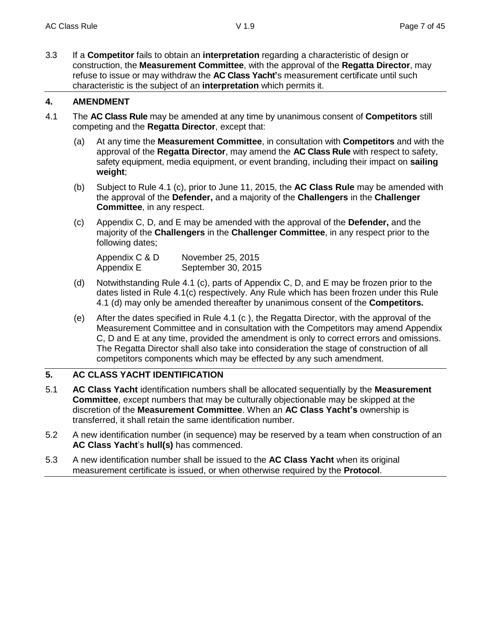3.3 If a **Competitor** fails to obtain an **interpretation** regarding a characteristic of design or construction, the **Measurement Committee**, with the approval of the **Regatta Director**, may refuse to issue or may withdraw the **AC Class Yacht'**s measurement certificate until such characteristic is the subject of an **interpretation** which permits it.

## **4. AMENDMENT**

- 4.1 The **AC Class Rule** may be amended at any time by unanimous consent of **Competitors** still competing and the **Regatta Director**, except that:
	- (a) At any time the **Measurement Committee**, in consultation with **Competitors** and with the approval of the **Regatta Director**, may amend the **AC Class Rule** with respect to safety, safety equipment, media equipment, or event branding, including their impact on **sailing weight**;
	- (b) Subject to Rule 4.1 (c), prior to June 11, 2015, the **AC Class Rule** may be amended with the approval of the **Defender,** and a majority of the **Challengers** in the **Challenger Committee**, in any respect.
	- (c) Appendix C, D, and E may be amended with the approval of the **Defender,** and the majority of the **Challengers** in the **Challenger Committee**, in any respect prior to the following dates;

| Appendix C & D | November 25, 2015  |
|----------------|--------------------|
| Appendix E     | September 30, 2015 |

- (d) Notwithstanding Rule 4.1 (c), parts of Appendix C, D, and E may be frozen prior to the dates listed in Rule 4.1(c) respectively. Any Rule which has been frozen under this Rule 4.1 (d) may only be amended thereafter by unanimous consent of the **Competitors.**
- (e) After the dates specified in Rule 4.1 (c ), the Regatta Director, with the approval of the Measurement Committee and in consultation with the Competitors may amend Appendix C, D and E at any time, provided the amendment is only to correct errors and omissions. The Regatta Director shall also take into consideration the stage of construction of all competitors components which may be effected by any such amendment.

## **5. AC CLASS YACHT IDENTIFICATION**

- 5.1 **AC Class Yacht** identification numbers shall be allocated sequentially by the **Measurement Committee**, except numbers that may be culturally objectionable may be skipped at the discretion of the **Measurement Committee**. When an **AC Class Yacht's** ownership is transferred, it shall retain the same identification number.
- 5.2 A new identification number (in sequence) may be reserved by a team when construction of an **AC Class Yacht**'s **hull(s)** has commenced.
- 5.3 A new identification number shall be issued to the **AC Class Yacht** when its original measurement certificate is issued, or when otherwise required by the **Protocol**.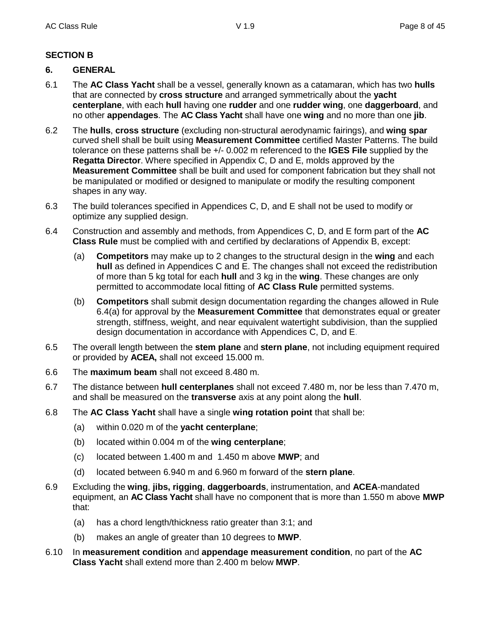## **SECTION B**

#### **6. GENERAL**

- 6.1 The **AC Class Yacht** shall be a vessel, generally known as a catamaran, which has two **hulls** that are connected by **cross structure** and arranged symmetrically about the **yacht centerplane**, with each **hull** having one **rudder** and one **rudder wing**, one **daggerboard**, and no other **appendages**. The **AC Class Yacht** shall have one **wing** and no more than one **jib**.
- 6.2 The **hulls**, **cross structure** (excluding non-structural aerodynamic fairings), and **wing spar** curved shell shall be built using **Measurement Committee** certified Master Patterns. The build tolerance on these patterns shall be +/- 0.002 m referenced to the **IGES File** supplied by the **Regatta Director**. Where specified in Appendix C, D and E, molds approved by the **Measurement Committee** shall be built and used for component fabrication but they shall not be manipulated or modified or designed to manipulate or modify the resulting component shapes in any way.
- 6.3 The build tolerances specified in Appendices C, D, and E shall not be used to modify or optimize any supplied design.
- 6.4 Construction and assembly and methods, from Appendices C, D, and E form part of the **AC Class Rule** must be complied with and certified by declarations of Appendix B, except:
	- (a) **Competitors** may make up to 2 changes to the structural design in the **wing** and each **hull** as defined in Appendices C and E. The changes shall not exceed the redistribution of more than 5 kg total for each **hull** and 3 kg in the **wing**. These changes are only permitted to accommodate local fitting of **AC Class Rule** permitted systems.
	- (b) **Competitors** shall submit design documentation regarding the changes allowed in Rule 6.4(a) for approval by the **Measurement Committee** that demonstrates equal or greater strength, stiffness, weight, and near equivalent watertight subdivision, than the supplied design documentation in accordance with Appendices C, D, and E.
- 6.5 The overall length between the **stem plane** and **stern plane**, not including equipment required or provided by **ACEA,** shall not exceed 15.000 m.
- 6.6 The **maximum beam** shall not exceed 8.480 m.
- 6.7 The distance between **hull centerplanes** shall not exceed 7.480 m, nor be less than 7.470 m, and shall be measured on the **transverse** axis at any point along the **hull**.
- 6.8 The **AC Class Yacht** shall have a single **wing rotation point** that shall be:
	- (a) within 0.020 m of the **yacht centerplane**;
	- (b) located within 0.004 m of the **wing centerplane**;
	- (c) located between 1.400 m and 1.450 m above **MWP**; and
	- (d) located between 6.940 m and 6.960 m forward of the **stern plane**.
- 6.9 Excluding the **wing**, **jibs, rigging**, **daggerboards**, instrumentation, and **ACEA**-mandated equipment, an **AC Class Yacht** shall have no component that is more than 1.550 m above **MWP** that:
	- (a) has a chord length/thickness ratio greater than 3:1; and
	- (b) makes an angle of greater than 10 degrees to **MWP**.
- 6.10 In **measurement condition** and **appendage measurement condition**, no part of the **AC Class Yacht** shall extend more than 2.400 m below **MWP**.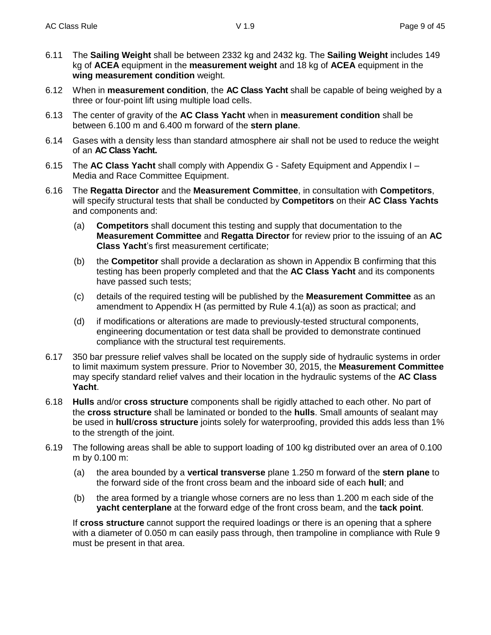- 6.11 The **Sailing Weight** shall be between 2332 kg and 2432 kg. The **Sailing Weight** includes 149 kg of **ACEA** equipment in the **measurement weight** and 18 kg of **ACEA** equipment in the **wing measurement condition** weight.
- 6.12 When in **measurement condition**, the **AC Class Yacht** shall be capable of being weighed by a three or four-point lift using multiple load cells.
- 6.13 The center of gravity of the **AC Class Yacht** when in **measurement condition** shall be between 6.100 m and 6.400 m forward of the **stern plane**.
- 6.14 Gases with a density less than standard atmosphere air shall not be used to reduce the weight of an **AC Class Yacht.**
- 6.15 The **AC Class Yacht** shall comply with Appendix G Safety Equipment and Appendix I Media and Race Committee Equipment.
- 6.16 The **Regatta Director** and the **Measurement Committee**, in consultation with **Competitors**, will specify structural tests that shall be conducted by **Competitors** on their **AC Class Yachts** and components and:
	- (a) **Competitors** shall document this testing and supply that documentation to the **Measurement Committee** and **Regatta Director** for review prior to the issuing of an **AC Class Yacht**'s first measurement certificate;
	- (b) the **Competitor** shall provide a declaration as shown in Appendix B confirming that this testing has been properly completed and that the **AC Class Yacht** and its components have passed such tests;
	- (c) details of the required testing will be published by the **Measurement Committee** as an amendment to Appendix H (as permitted by Rule 4.1(a)) as soon as practical; and
	- (d) if modifications or alterations are made to previously-tested structural components, engineering documentation or test data shall be provided to demonstrate continued compliance with the structural test requirements.
- 6.17 350 bar pressure relief valves shall be located on the supply side of hydraulic systems in order to limit maximum system pressure. Prior to November 30, 2015, the **Measurement Committee** may specify standard relief valves and their location in the hydraulic systems of the **AC Class Yacht**.
- 6.18 **Hulls** and/or **cross structure** components shall be rigidly attached to each other. No part of the **cross structure** shall be laminated or bonded to the **hulls**. Small amounts of sealant may be used in **hull**/**cross structure** joints solely for waterproofing, provided this adds less than 1% to the strength of the joint.
- 6.19 The following areas shall be able to support loading of 100 kg distributed over an area of 0.100 m by 0.100 m:
	- (a) the area bounded by a **vertical transverse** plane 1.250 m forward of the **stern plane** to the forward side of the front cross beam and the inboard side of each **hull**; and
	- (b) the area formed by a triangle whose corners are no less than 1.200 m each side of the **yacht centerplane** at the forward edge of the front cross beam, and the **tack point**.

If **cross structure** cannot support the required loadings or there is an opening that a sphere with a diameter of 0.050 m can easily pass through, then trampoline in compliance with Rule 9 must be present in that area.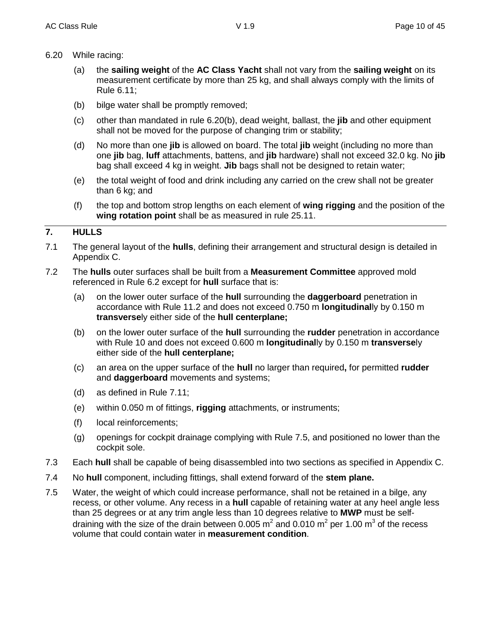- 6.20 While racing:
	- (a) the **sailing weight** of the **AC Class Yacht** shall not vary from the **sailing weight** on its measurement certificate by more than 25 kg, and shall always comply with the limits of Rule 6.11;
	- (b) bilge water shall be promptly removed;
	- (c) other than mandated in rule 6.20(b), dead weight, ballast, the **jib** and other equipment shall not be moved for the purpose of changing trim or stability;
	- (d) No more than one **jib** is allowed on board. The total **jib** weight (including no more than one **jib** bag, **luff** attachments, battens, and **jib** hardware) shall not exceed 32.0 kg. No **jib** bag shall exceed 4 kg in weight. **Jib** bags shall not be designed to retain water;
	- (e) the total weight of food and drink including any carried on the crew shall not be greater than 6 kg; and
	- (f) the top and bottom strop lengths on each element of **wing rigging** and the position of the **wing rotation point** shall be as measured in rule 25.11.

#### **7. HULLS**

- 7.1 The general layout of the **hulls**, defining their arrangement and structural design is detailed in Appendix C.
- 7.2 The **hulls** outer surfaces shall be built from a **Measurement Committee** approved mold referenced in Rule 6.2 except for **hull** surface that is:
	- (a) on the lower outer surface of the **hull** surrounding the **daggerboard** penetration in accordance with Rule 11.2 and does not exceed 0.750 m **longitudinal**ly by 0.150 m **transverse**ly either side of the **hull centerplane;**
	- (b) on the lower outer surface of the **hull** surrounding the **rudder** penetration in accordance with Rule 10 and does not exceed 0.600 m **longitudinal**ly by 0.150 m **transverse**ly either side of the **hull centerplane;**
	- (c) an area on the upper surface of the **hull** no larger than required**,** for permitted **rudder** and **daggerboard** movements and systems;
	- (d) as defined in Rule 7.11;
	- (e) within 0.050 m of fittings, **rigging** attachments, or instruments;
	- (f) local reinforcements;
	- (g) openings for cockpit drainage complying with Rule 7.5, and positioned no lower than the cockpit sole.
- 7.3 Each **hull** shall be capable of being disassembled into two sections as specified in Appendix C.
- 7.4 No **hull** component, including fittings, shall extend forward of the **stem plane.**
- 7.5 Water, the weight of which could increase performance, shall not be retained in a bilge, any recess, or other volume. Any recess in a **hull** capable of retaining water at any heel angle less than 25 degrees or at any trim angle less than 10 degrees relative to **MWP** must be selfdraining with the size of the drain between 0.005 m<sup>2</sup> and 0.010 m<sup>2</sup> per 1.00 m<sup>3</sup> of the recess volume that could contain water in **measurement condition**.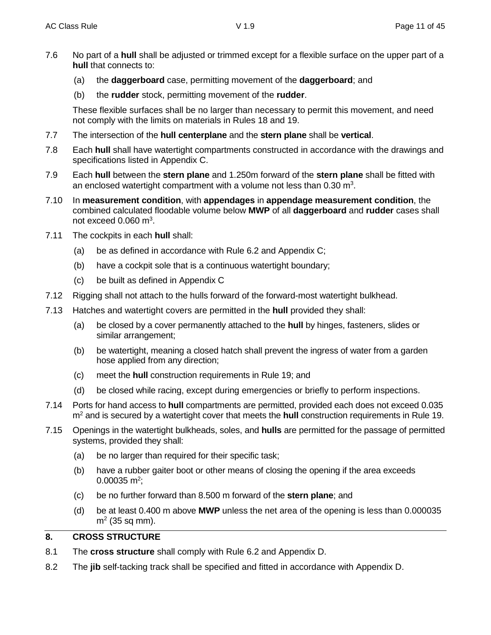- 7.6 No part of a **hull** shall be adjusted or trimmed except for a flexible surface on the upper part of a **hull** that connects to:
	- (a) the **daggerboard** case, permitting movement of the **daggerboard**; and
	- (b) the **rudder** stock, permitting movement of the **rudder**.

These flexible surfaces shall be no larger than necessary to permit this movement, and need not comply with the limits on materials in Rules 18 and 19.

- 7.7 The intersection of the **hull centerplane** and the **stern plane** shall be **vertical**.
- 7.8 Each **hull** shall have watertight compartments constructed in accordance with the drawings and specifications listed in Appendix C.
- 7.9 Each **hull** between the **stern plane** and 1.250m forward of the **stern plane** shall be fitted with an enclosed watertight compartment with a volume not less than 0.30 m<sup>3</sup>.
- 7.10 In **measurement condition**, with **appendages** in **appendage measurement condition**, the combined calculated floodable volume below **MWP** of all **daggerboard** and **rudder** cases shall not exceed  $0.060$  m<sup>3</sup>.
- 7.11 The cockpits in each **hull** shall:
	- (a) be as defined in accordance with Rule 6.2 and Appendix C;
	- (b) have a cockpit sole that is a continuous watertight boundary;
	- (c) be built as defined in Appendix C
- 7.12 Rigging shall not attach to the hulls forward of the forward-most watertight bulkhead.
- 7.13 Hatches and watertight covers are permitted in the **hull** provided they shall:
	- (a) be closed by a cover permanently attached to the **hull** by hinges, fasteners, slides or similar arrangement;
	- (b) be watertight, meaning a closed hatch shall prevent the ingress of water from a garden hose applied from any direction;
	- (c) meet the **hull** construction requirements in Rule 19; and
	- (d) be closed while racing, except during emergencies or briefly to perform inspections.
- 7.14 Ports for hand access to **hull** compartments are permitted, provided each does not exceed 0.035 m<sup>2</sup> and is secured by a watertight cover that meets the **hull** construction requirements in Rule 19.
- 7.15 Openings in the watertight bulkheads, soles, and **hulls** are permitted for the passage of permitted systems, provided they shall:
	- (a) be no larger than required for their specific task;
	- (b) have a rubber gaiter boot or other means of closing the opening if the area exceeds  $0.00035$  m<sup>2</sup>;
	- (c) be no further forward than 8.500 m forward of the **stern plane**; and
	- (d) be at least 0.400 m above **MWP** unless the net area of the opening is less than 0.000035 m<sup>2</sup> (35 sq mm).

#### **8. CROSS STRUCTURE**

- 8.1 The **cross structure** shall comply with Rule 6.2 and Appendix D.
- 8.2 The **jib** self-tacking track shall be specified and fitted in accordance with Appendix D.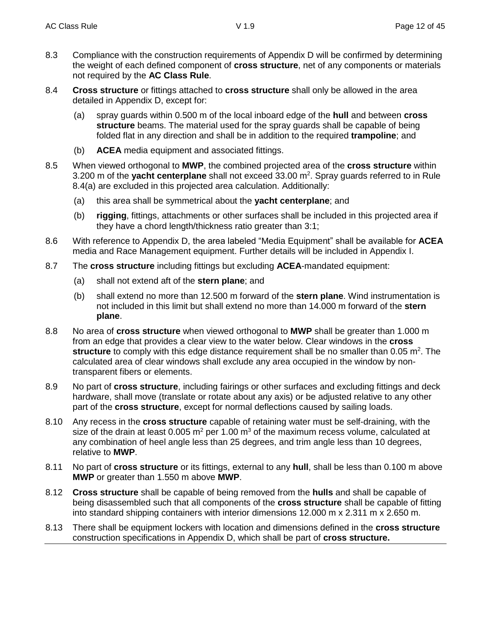- 8.3 Compliance with the construction requirements of Appendix D will be confirmed by determining the weight of each defined component of **cross structure**, net of any components or materials not required by the **AC Class Rule**.
- 8.4 **Cross structure** or fittings attached to **cross structure** shall only be allowed in the area detailed in Appendix D, except for:
	- (a) spray guards within 0.500 m of the local inboard edge of the **hull** and between **cross structure** beams. The material used for the spray guards shall be capable of being folded flat in any direction and shall be in addition to the required **trampoline**; and
	- (b) **ACEA** media equipment and associated fittings.
- 8.5 When viewed orthogonal to **MWP**, the combined projected area of the **cross structure** within 3.200 m of the yacht centerplane shall not exceed 33.00 m<sup>2</sup>. Spray guards referred to in Rule 8.4(a) are excluded in this projected area calculation. Additionally:
	- (a) this area shall be symmetrical about the **yacht centerplane**; and
	- (b) **rigging**, fittings, attachments or other surfaces shall be included in this projected area if they have a chord length/thickness ratio greater than 3:1;
- 8.6 With reference to Appendix D, the area labeled "Media Equipment" shall be available for **ACEA** media and Race Management equipment. Further details will be included in Appendix I.
- 8.7 The **cross structure** including fittings but excluding **ACEA**-mandated equipment:
	- (a) shall not extend aft of the **stern plane**; and
	- (b) shall extend no more than 12.500 m forward of the **stern plane**. Wind instrumentation is not included in this limit but shall extend no more than 14.000 m forward of the **stern plane**.
- 8.8 No area of **cross structure** when viewed orthogonal to **MWP** shall be greater than 1.000 m from an edge that provides a clear view to the water below. Clear windows in the **cross**  structure to comply with this edge distance requirement shall be no smaller than 0.05 m<sup>2</sup>. The calculated area of clear windows shall exclude any area occupied in the window by nontransparent fibers or elements.
- 8.9 No part of **cross structure**, including fairings or other surfaces and excluding fittings and deck hardware, shall move (translate or rotate about any axis) or be adjusted relative to any other part of the **cross structure**, except for normal deflections caused by sailing loads.
- 8.10 Any recess in the **cross structure** capable of retaining water must be self-draining, with the size of the drain at least 0.005  $m^2$  per 1.00  $m^3$  of the maximum recess volume, calculated at any combination of heel angle less than 25 degrees, and trim angle less than 10 degrees, relative to **MWP**.
- 8.11 No part of **cross structure** or its fittings, external to any **hull**, shall be less than 0.100 m above **MWP** or greater than 1.550 m above **MWP**.
- 8.12 **Cross structure** shall be capable of being removed from the **hulls** and shall be capable of being disassembled such that all components of the **cross structure** shall be capable of fitting into standard shipping containers with interior dimensions 12.000 m x 2.311 m x 2.650 m.
- 8.13 There shall be equipment lockers with location and dimensions defined in the **cross structure**  construction specifications in Appendix D, which shall be part of **cross structure.**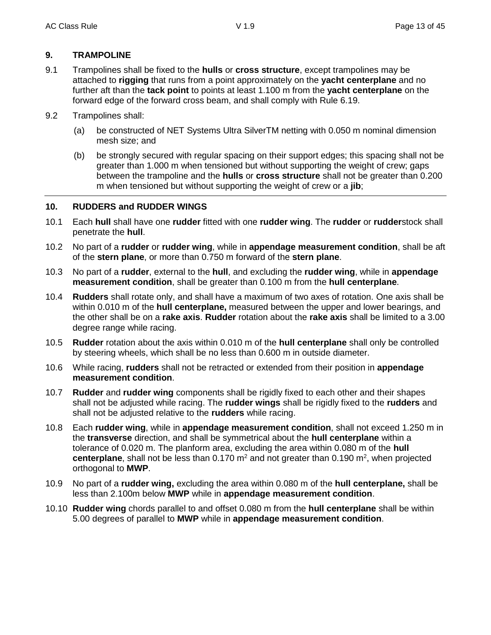#### **9. TRAMPOLINE**

- 9.1 Trampolines shall be fixed to the **hulls** or **cross structure**, except trampolines may be attached to **rigging** that runs from a point approximately on the **yacht centerplane** and no further aft than the **tack point** to points at least 1.100 m from the **yacht centerplane** on the forward edge of the forward cross beam, and shall comply with Rule 6.19.
- 9.2 Trampolines shall:
	- (a) be constructed of NET Systems Ultra SilverTM netting with 0.050 m nominal dimension mesh size; and
	- (b) be strongly secured with regular spacing on their support edges; this spacing shall not be greater than 1.000 m when tensioned but without supporting the weight of crew; gaps between the trampoline and the **hulls** or **cross structure** shall not be greater than 0.200 m when tensioned but without supporting the weight of crew or a **jib**;

#### **10. RUDDERS and RUDDER WINGS**

- 10.1 Each **hull** shall have one **rudder** fitted with one **rudder wing**. The **rudder** or **rudder**stock shall penetrate the **hull**.
- 10.2 No part of a **rudder** or **rudder wing**, while in **appendage measurement condition**, shall be aft of the **stern plane**, or more than 0.750 m forward of the **stern plane**.
- 10.3 No part of a **rudder**, external to the **hull**, and excluding the **rudder wing**, while in **appendage measurement condition**, shall be greater than 0.100 m from the **hull centerplane**.
- 10.4 **Rudders** shall rotate only, and shall have a maximum of two axes of rotation. One axis shall be within 0.010 m of the **hull centerplane,** measured between the upper and lower bearings, and the other shall be on a **rake axis**. **Rudder** rotation about the **rake axis** shall be limited to a 3.00 degree range while racing.
- 10.5 **Rudder** rotation about the axis within 0.010 m of the **hull centerplane** shall only be controlled by steering wheels, which shall be no less than 0.600 m in outside diameter.
- 10.6 While racing, **rudders** shall not be retracted or extended from their position in **appendage measurement condition**.
- 10.7 **Rudder** and **rudder wing** components shall be rigidly fixed to each other and their shapes shall not be adjusted while racing. The **rudder wings** shall be rigidly fixed to the **rudders** and shall not be adjusted relative to the **rudders** while racing.
- 10.8 Each **rudder wing**, while in **appendage measurement condition**, shall not exceed 1.250 m in the **transverse** direction, and shall be symmetrical about the **hull centerplane** within a tolerance of 0.020 m. The planform area, excluding the area within 0.080 m of the **hull**  centerplane, shall not be less than 0.170 m<sup>2</sup> and not greater than 0.190 m<sup>2</sup>, when projected orthogonal to **MWP**.
- 10.9 No part of a **rudder wing,** excluding the area within 0.080 m of the **hull centerplane,** shall be less than 2.100m below **MWP** while in **appendage measurement condition**.
- 10.10 **Rudder wing** chords parallel to and offset 0.080 m from the **hull centerplane** shall be within 5.00 degrees of parallel to **MWP** while in **appendage measurement condition**.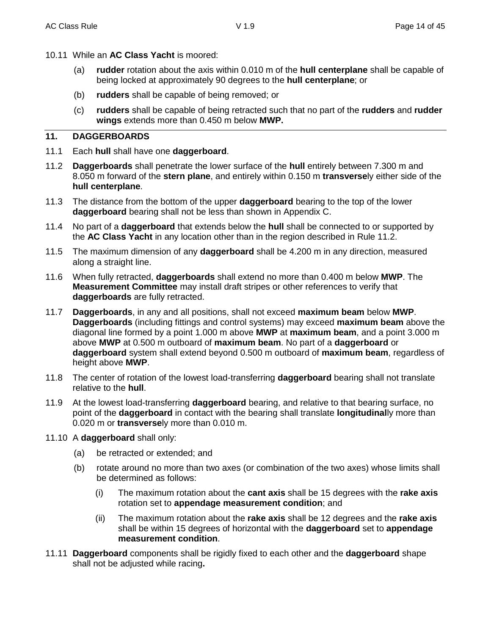- 10.11 While an **AC Class Yacht** is moored:
	- (a) **rudder** rotation about the axis within 0.010 m of the **hull centerplane** shall be capable of being locked at approximately 90 degrees to the **hull centerplane**; or
	- (b) **rudders** shall be capable of being removed; or
	- (c) **rudders** shall be capable of being retracted such that no part of the **rudders** and **rudder wings** extends more than 0.450 m below **MWP.**

#### **11. DAGGERBOARDS**

- 11.1 Each **hull** shall have one **daggerboard**.
- 11.2 **Daggerboards** shall penetrate the lower surface of the **hull** entirely between 7.300 m and 8.050 m forward of the **stern plane**, and entirely within 0.150 m **transverse**ly either side of the **hull centerplane**.
- 11.3 The distance from the bottom of the upper **daggerboard** bearing to the top of the lower **daggerboard** bearing shall not be less than shown in Appendix C.
- 11.4 No part of a **daggerboard** that extends below the **hull** shall be connected to or supported by the **AC Class Yacht** in any location other than in the region described in Rule 11.2.
- 11.5 The maximum dimension of any **daggerboard** shall be 4.200 m in any direction, measured along a straight line.
- 11.6 When fully retracted, **daggerboards** shall extend no more than 0.400 m below **MWP**. The **Measurement Committee** may install draft stripes or other references to verify that **daggerboards** are fully retracted.
- 11.7 **Daggerboards**, in any and all positions, shall not exceed **maximum beam** below **MWP**. **Daggerboards** (including fittings and control systems) may exceed **maximum beam** above the diagonal line formed by a point 1.000 m above **MWP** at **maximum beam**, and a point 3.000 m above **MWP** at 0.500 m outboard of **maximum beam**. No part of a **daggerboard** or **daggerboard** system shall extend beyond 0.500 m outboard of **maximum beam**, regardless of height above **MWP**.
- 11.8 The center of rotation of the lowest load-transferring **daggerboard** bearing shall not translate relative to the **hull**.
- 11.9 At the lowest load-transferring **daggerboard** bearing, and relative to that bearing surface, no point of the **daggerboard** in contact with the bearing shall translate **longitudinal**ly more than 0.020 m or **transverse**ly more than 0.010 m.
- 11.10 A **daggerboard** shall only:
	- (a) be retracted or extended; and
	- (b) rotate around no more than two axes (or combination of the two axes) whose limits shall be determined as follows:
		- (i) The maximum rotation about the **cant axis** shall be 15 degrees with the **rake axis** rotation set to **appendage measurement condition**; and
		- (ii) The maximum rotation about the **rake axis** shall be 12 degrees and the **rake axis** shall be within 15 degrees of horizontal with the **daggerboard** set to **appendage measurement condition**.
- 11.11 **Daggerboard** components shall be rigidly fixed to each other and the **daggerboard** shape shall not be adjusted while racing**.**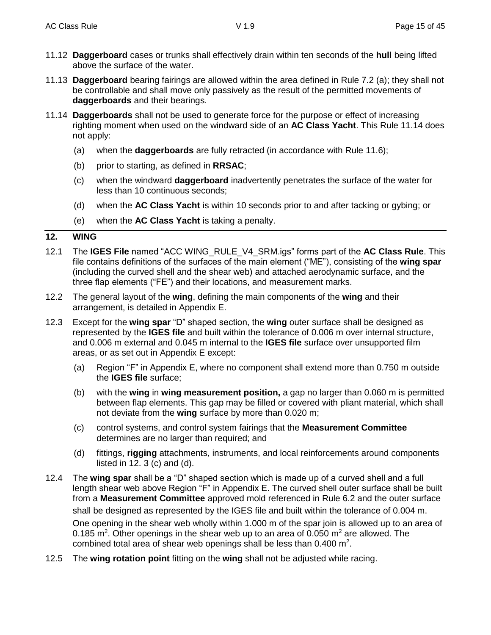- 11.12 **Daggerboard** cases or trunks shall effectively drain within ten seconds of the **hull** being lifted above the surface of the water.
- 11.13 **Daggerboard** bearing fairings are allowed within the area defined in Rule 7.2 (a); they shall not be controllable and shall move only passively as the result of the permitted movements of **daggerboards** and their bearings.
- 11.14 **Daggerboards** shall not be used to generate force for the purpose or effect of increasing righting moment when used on the windward side of an **AC Class Yacht**. This Rule 11.14 does not apply:
	- (a) when the **daggerboards** are fully retracted (in accordance with Rule 11.6);
	- (b) prior to starting, as defined in **RRSAC**;
	- (c) when the windward **daggerboard** inadvertently penetrates the surface of the water for less than 10 continuous seconds;
	- (d) when the **AC Class Yacht** is within 10 seconds prior to and after tacking or gybing; or
	- (e) when the **AC Class Yacht** is taking a penalty.

#### **12. WING**

- 12.1 The **IGES File** named "ACC WING\_RULE\_V4\_SRM.igs" forms part of the **AC Class Rule**. This file contains definitions of the surfaces of the main element ("ME"), consisting of the **wing spar**  (including the curved shell and the shear web) and attached aerodynamic surface, and the three flap elements ("FE") and their locations, and measurement marks.
- 12.2 The general layout of the **wing**, defining the main components of the **wing** and their arrangement, is detailed in Appendix E.
- 12.3 Except for the **wing spar** "D" shaped section, the **wing** outer surface shall be designed as represented by the **IGES file** and built within the tolerance of 0.006 m over internal structure, and 0.006 m external and 0.045 m internal to the **IGES file** surface over unsupported film areas, or as set out in Appendix E except:
	- (a) Region "F" in Appendix E, where no component shall extend more than 0.750 m outside the **IGES file** surface;
	- (b) with the **wing** in **wing measurement position,** a gap no larger than 0.060 m is permitted between flap elements. This gap may be filled or covered with pliant material, which shall not deviate from the **wing** surface by more than 0.020 m;
	- (c) control systems, and control system fairings that the **Measurement Committee** determines are no larger than required; and
	- (d) fittings, **rigging** attachments, instruments, and local reinforcements around components listed in  $12.3$  (c) and (d).
- 12.4 The **wing spar** shall be a "D" shaped section which is made up of a curved shell and a full length shear web above Region "F" in Appendix E. The curved shell outer surface shall be built from a **Measurement Committee** approved mold referenced in Rule 6.2 and the outer surface shall be designed as represented by the IGES file and built within the tolerance of 0.004 m. One opening in the shear web wholly within 1.000 m of the spar join is allowed up to an area of 0.185 m<sup>2</sup>. Other openings in the shear web up to an area of 0.050 m<sup>2</sup> are allowed. The combined total area of shear web openings shall be less than  $0.400$  m<sup>2</sup>.
- 12.5 The **wing rotation point** fitting on the **wing** shall not be adjusted while racing.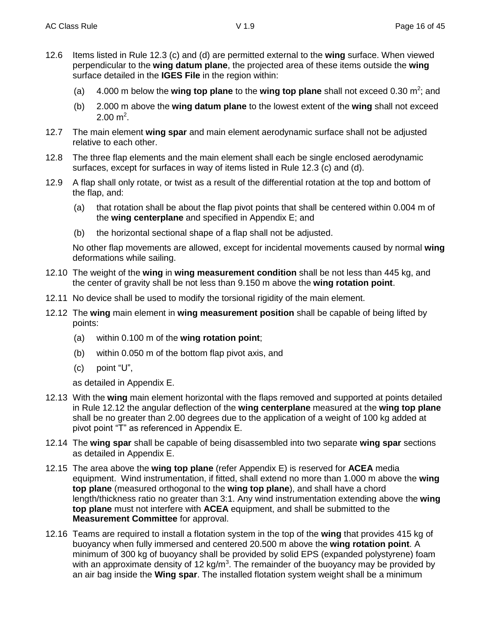- 12.6 Items listed in Rule 12.3 (c) and (d) are permitted external to the **wing** surface. When viewed perpendicular to the wing datum plane, the projected area of these items outside the **wing** surface detailed in the **IGES File** in the region within:
	- (a) 4.000 m below the **wing top plane** to the wing top plane shall not exceed 0.30 m<sup>2</sup>; and
	- (b) 2.000 m above the **wing datum plane** to the lowest extent of the **wing** shall not exceed  $2.00 \text{ m}^2$ .
- 12.7 The main element **wing spar** and main element aerodynamic surface shall not be adjusted relative to each other.
- 12.8 The three flap elements and the main element shall each be single enclosed aerodynamic surfaces, except for surfaces in way of items listed in Rule 12.3 (c) and (d).
- 12.9 A flap shall only rotate, or twist as a result of the differential rotation at the top and bottom of the flap, and:
	- (a) that rotation shall be about the flap pivot points that shall be centered within 0.004 m of the **wing centerplane** and specified in Appendix E; and
	- (b) the horizontal sectional shape of a flap shall not be adjusted.

No other flap movements are allowed, except for incidental movements caused by normal **wing** deformations while sailing.

- 12.10 The weight of the **wing** in **wing measurement condition** shall be not less than 445 kg, and the center of gravity shall be not less than 9.150 m above the **wing rotation point**.
- 12.11 No device shall be used to modify the torsional rigidity of the main element.
- 12.12 The **wing** main element in **wing measurement position** shall be capable of being lifted by points:
	- (a) within 0.100 m of the **wing rotation point**;
	- (b) within 0.050 m of the bottom flap pivot axis, and
	- (c) point "U",

as detailed in Appendix E.

- 12.13 With the **wing** main element horizontal with the flaps removed and supported at points detailed in Rule 12.12 the angular deflection of the **wing centerplane** measured at the **wing top plane** shall be no greater than 2.00 degrees due to the application of a weight of 100 kg added at pivot point "T" as referenced in Appendix E.
- 12.14 The **wing spar** shall be capable of being disassembled into two separate **wing spar** sections as detailed in Appendix E.
- 12.15 The area above the **wing top plane** (refer Appendix E) is reserved for **ACEA** media equipment. Wind instrumentation, if fitted, shall extend no more than 1.000 m above the **wing top plane** (measured orthogonal to the **wing top plane**), and shall have a chord length/thickness ratio no greater than 3:1. Any wind instrumentation extending above the **wing top plane** must not interfere with **ACEA** equipment, and shall be submitted to the **Measurement Committee** for approval.
- 12.16 Teams are required to install a flotation system in the top of the **wing** that provides 415 kg of buoyancy when fully immersed and centered 20.500 m above the **wing rotation point**. A minimum of 300 kg of buoyancy shall be provided by solid EPS (expanded polystyrene) foam with an approximate density of 12 kg/m<sup>3</sup>. The remainder of the buoyancy may be provided by an air bag inside the **Wing spar**. The installed flotation system weight shall be a minimum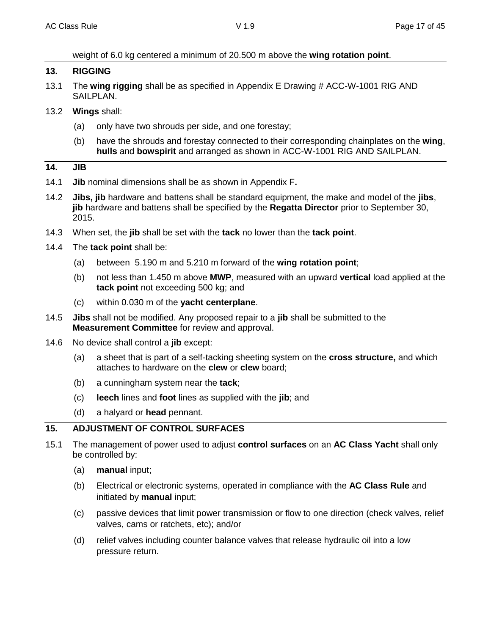weight of 6.0 kg centered a minimum of 20.500 m above the **wing rotation point**.

#### **13. RIGGING**

- 13.1 The **wing rigging** shall be as specified in Appendix E Drawing # ACC-W-1001 RIG AND SAILPLAN.
- 13.2 **Wings** shall:
	- (a) only have two shrouds per side, and one forestay;
	- (b) have the shrouds and forestay connected to their corresponding chainplates on the **wing**, **hulls** and **bowspirit** and arranged as shown in ACC-W-1001 RIG AND SAILPLAN.

#### **14. JIB**

- 14.1 **Jib** nominal dimensions shall be as shown in Appendix F**.**
- 14.2 **Jibs, jib** hardware and battens shall be standard equipment, the make and model of the **jibs**, **jib** hardware and battens shall be specified by the **Regatta Director** prior to September 30, 2015.
- 14.3 When set, the **jib** shall be set with the **tack** no lower than the **tack point**.
- 14.4 The **tack point** shall be:
	- (a) between 5.190 m and 5.210 m forward of the **wing rotation point**;
	- (b) not less than 1.450 m above **MWP**, measured with an upward **vertical** load applied at the **tack point** not exceeding 500 kg; and
	- (c) within 0.030 m of the **yacht centerplane**.
- 14.5 **Jibs** shall not be modified. Any proposed repair to a **jib** shall be submitted to the **Measurement Committee** for review and approval.
- 14.6 No device shall control a **jib** except:
	- (a) a sheet that is part of a self-tacking sheeting system on the **cross structure,** and which attaches to hardware on the **clew** or **clew** board;
	- (b) a cunningham system near the **tack**;
	- (c) **leech** lines and **foot** lines as supplied with the **jib**; and
	- (d) a halyard or **head** pennant.

## **15. ADJUSTMENT OF CONTROL SURFACES**

- 15.1 The management of power used to adjust **control surfaces** on an **AC Class Yacht** shall only be controlled by:
	- (a) **manual** input;
	- (b) Electrical or electronic systems, operated in compliance with the **AC Class Rule** and initiated by **manual** input;
	- (c) passive devices that limit power transmission or flow to one direction (check valves, relief valves, cams or ratchets, etc); and/or
	- (d) relief valves including counter balance valves that release hydraulic oil into a low pressure return.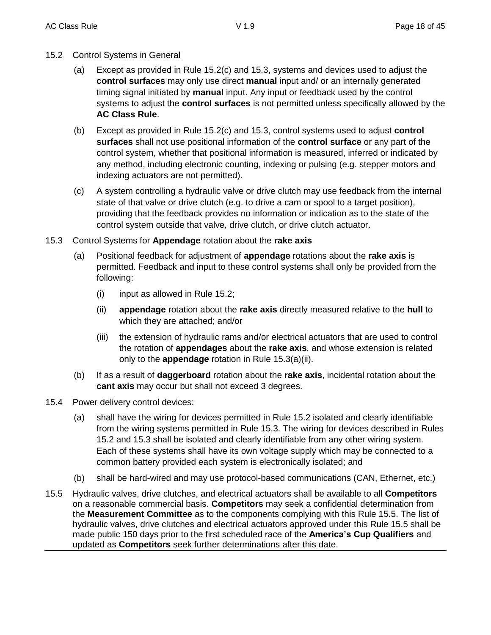- 15.2 Control Systems in General
	- (a) Except as provided in Rule 15.2(c) and 15.3, systems and devices used to adjust the **control surfaces** may only use direct **manual** input and/ or an internally generated timing signal initiated by **manual** input. Any input or feedback used by the control systems to adjust the **control surfaces** is not permitted unless specifically allowed by the **AC Class Rule**.
	- (b) Except as provided in Rule 15.2(c) and 15.3, control systems used to adjust **control surfaces** shall not use positional information of the **control surface** or any part of the control system, whether that positional information is measured, inferred or indicated by any method, including electronic counting, indexing or pulsing (e.g. stepper motors and indexing actuators are not permitted).
	- (c) A system controlling a hydraulic valve or drive clutch may use feedback from the internal state of that valve or drive clutch (e.g. to drive a cam or spool to a target position), providing that the feedback provides no information or indication as to the state of the control system outside that valve, drive clutch, or drive clutch actuator.
- 15.3 Control Systems for **Appendage** rotation about the **rake axis**
	- (a) Positional feedback for adjustment of **appendage** rotations about the **rake axis** is permitted. Feedback and input to these control systems shall only be provided from the following:
		- (i) input as allowed in Rule 15.2;
		- (ii) **appendage** rotation about the **rake axis** directly measured relative to the **hull** to which they are attached; and/or
		- (iii) the extension of hydraulic rams and/or electrical actuators that are used to control the rotation of **appendages** about the **rake axis**, and whose extension is related only to the **appendage** rotation in Rule 15.3(a)(ii).
	- (b) If as a result of **daggerboard** rotation about the **rake axis**, incidental rotation about the **cant axis** may occur but shall not exceed 3 degrees.
- 15.4 Power delivery control devices:
	- (a) shall have the wiring for devices permitted in Rule 15.2 isolated and clearly identifiable from the wiring systems permitted in Rule 15.3. The wiring for devices described in Rules 15.2 and 15.3 shall be isolated and clearly identifiable from any other wiring system. Each of these systems shall have its own voltage supply which may be connected to a common battery provided each system is electronically isolated; and
	- (b) shall be hard-wired and may use protocol-based communications (CAN, Ethernet, etc.)
- 15.5 Hydraulic valves, drive clutches, and electrical actuators shall be available to all **Competitors** on a reasonable commercial basis. **Competitors** may seek a confidential determination from the **Measurement Committee** as to the components complying with this Rule 15.5. The list of hydraulic valves, drive clutches and electrical actuators approved under this Rule 15.5 shall be made public 150 days prior to the first scheduled race of the **America's Cup Qualifiers** and updated as **Competitors** seek further determinations after this date.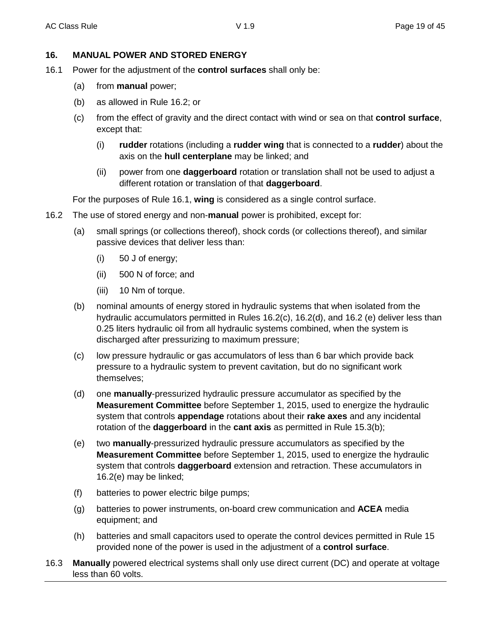#### **16. MANUAL POWER AND STORED ENERGY**

- 16.1 Power for the adjustment of the **control surfaces** shall only be:
	- (a) from **manual** power;
	- (b) as allowed in Rule 16.2; or
	- (c) from the effect of gravity and the direct contact with wind or sea on that **control surface**, except that:
		- (i) **rudder** rotations (including a **rudder wing** that is connected to a **rudder**) about the axis on the **hull centerplane** may be linked; and
		- (ii) power from one **daggerboard** rotation or translation shall not be used to adjust a different rotation or translation of that **daggerboard**.

For the purposes of Rule 16.1, **wing** is considered as a single control surface.

- 16.2 The use of stored energy and non-**manual** power is prohibited, except for:
	- (a) small springs (or collections thereof), shock cords (or collections thereof), and similar passive devices that deliver less than:
		- (i) 50 J of energy;
		- (ii) 500 N of force; and
		- (iii) 10 Nm of torque.
	- (b) nominal amounts of energy stored in hydraulic systems that when isolated from the hydraulic accumulators permitted in Rules 16.2(c), 16.2(d), and 16.2 (e) deliver less than 0.25 liters hydraulic oil from all hydraulic systems combined, when the system is discharged after pressurizing to maximum pressure;
	- (c) low pressure hydraulic or gas accumulators of less than 6 bar which provide back pressure to a hydraulic system to prevent cavitation, but do no significant work themselves;
	- (d) one **manually**-pressurized hydraulic pressure accumulator as specified by the **Measurement Committee** before September 1, 2015, used to energize the hydraulic system that controls **appendage** rotations about their **rake axes** and any incidental rotation of the **daggerboard** in the **cant axis** as permitted in Rule 15.3(b);
	- (e) two **manually**-pressurized hydraulic pressure accumulators as specified by the **Measurement Committee** before September 1, 2015, used to energize the hydraulic system that controls **daggerboard** extension and retraction. These accumulators in 16.2(e) may be linked;
	- (f) batteries to power electric bilge pumps;
	- (g) batteries to power instruments, on-board crew communication and **ACEA** media equipment; and
	- (h) batteries and small capacitors used to operate the control devices permitted in Rule 15 provided none of the power is used in the adjustment of a **control surface**.
- 16.3 **Manually** powered electrical systems shall only use direct current (DC) and operate at voltage less than 60 volts.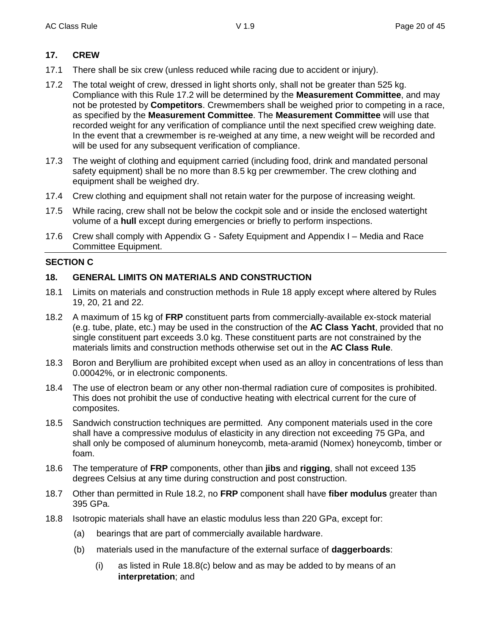#### **17. CREW**

- 17.1 There shall be six crew (unless reduced while racing due to accident or injury).
- 17.2 The total weight of crew, dressed in light shorts only, shall not be greater than 525 kg. Compliance with this Rule 17.2 will be determined by the **Measurement Committee**, and may not be protested by **Competitors**. Crewmembers shall be weighed prior to competing in a race, as specified by the **Measurement Committee**. The **Measurement Committee** will use that recorded weight for any verification of compliance until the next specified crew weighing date. In the event that a crewmember is re-weighed at any time, a new weight will be recorded and will be used for any subsequent verification of compliance.
- 17.3 The weight of clothing and equipment carried (including food, drink and mandated personal safety equipment) shall be no more than 8.5 kg per crewmember. The crew clothing and equipment shall be weighed dry.
- 17.4 Crew clothing and equipment shall not retain water for the purpose of increasing weight.
- 17.5 While racing, crew shall not be below the cockpit sole and or inside the enclosed watertight volume of a **hull** except during emergencies or briefly to perform inspections.
- 17.6 Crew shall comply with Appendix G Safety Equipment and Appendix I Media and Race Committee Equipment.

#### **SECTION C**

#### **18. GENERAL LIMITS ON MATERIALS AND CONSTRUCTION**

- 18.1 Limits on materials and construction methods in Rule 18 apply except where altered by Rules 19, 20, 21 and 22.
- 18.2 A maximum of 15 kg of **FRP** constituent parts from commercially-available ex-stock material (e.g. tube, plate, etc.) may be used in the construction of the **AC Class Yacht**, provided that no single constituent part exceeds 3.0 kg. These constituent parts are not constrained by the materials limits and construction methods otherwise set out in the **AC Class Rule**.
- 18.3 Boron and Beryllium are prohibited except when used as an alloy in concentrations of less than 0.00042%, or in electronic components.
- 18.4 The use of electron beam or any other non-thermal radiation cure of composites is prohibited. This does not prohibit the use of conductive heating with electrical current for the cure of composites.
- 18.5 Sandwich construction techniques are permitted. Any component materials used in the core shall have a compressive modulus of elasticity in any direction not exceeding 75 GPa, and shall only be composed of aluminum honeycomb, meta-aramid (Nomex) honeycomb, timber or foam.
- 18.6 The temperature of **FRP** components, other than **jibs** and **rigging**, shall not exceed 135 degrees Celsius at any time during construction and post construction.
- 18.7 Other than permitted in Rule 18.2, no **FRP** component shall have **fiber modulus** greater than 395 GPa.
- 18.8 Isotropic materials shall have an elastic modulus less than 220 GPa, except for:
	- (a) bearings that are part of commercially available hardware.
	- (b) materials used in the manufacture of the external surface of **daggerboards**:
		- (i) as listed in Rule 18.8(c) below and as may be added to by means of an **interpretation**; and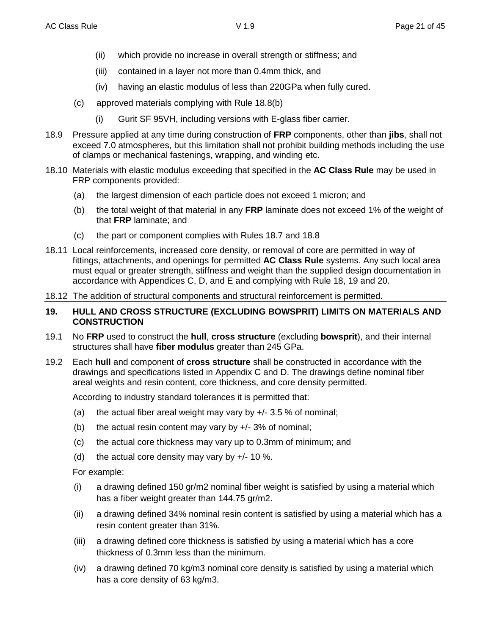- (ii) which provide no increase in overall strength or stiffness; and
- (iii) contained in a layer not more than 0.4mm thick, and
- (iv) having an elastic modulus of less than 220GPa when fully cured.
- (c) approved materials complying with Rule 18.8(b)
	- (i) Gurit SF 95VH, including versions with E-glass fiber carrier.
- 18.9 Pressure applied at any time during construction of **FRP** components, other than **jibs**, shall not exceed 7.0 atmospheres, but this limitation shall not prohibit building methods including the use of clamps or mechanical fastenings, wrapping, and winding etc.
- 18.10 Materials with elastic modulus exceeding that specified in the **AC Class Rule** may be used in FRP components provided:
	- (a) the largest dimension of each particle does not exceed 1 micron; and
	- (b) the total weight of that material in any **FRP** laminate does not exceed 1% of the weight of that **FRP** laminate; and
	- (c) the part or component complies with Rules 18.7 and 18.8
- 18.11 Local reinforcements, increased core density, or removal of core are permitted in way of fittings, attachments, and openings for permitted **AC Class Rule** systems. Any such local area must equal or greater strength, stiffness and weight than the supplied design documentation in accordance with Appendices C, D, and E and complying with Rule 18, 19 and 20.
- 18.12 The addition of structural components and structural reinforcement is permitted.

#### **19. HULL AND CROSS STRUCTURE (EXCLUDING BOWSPRIT) LIMITS ON MATERIALS AND CONSTRUCTION**

- 19.1 No **FRP** used to construct the **hull**, **cross structure** (excluding **bowsprit**), and their internal structures shall have **fiber modulus** greater than 245 GPa.
- 19.2 Each **hull** and component of **cross structure** shall be constructed in accordance with the drawings and specifications listed in Appendix C and D. The drawings define nominal fiber areal weights and resin content, core thickness, and core density permitted.

According to industry standard tolerances it is permitted that:

- (a) the actual fiber areal weight may vary by  $+/- 3.5 \%$  of nominal;
- (b) the actual resin content may vary by  $+/- 3\%$  of nominal;
- (c) the actual core thickness may vary up to 0.3mm of minimum; and
- (d) the actual core density may vary by  $+/- 10$  %.

For example:

- (i) a drawing defined 150 gr/m2 nominal fiber weight is satisfied by using a material which has a fiber weight greater than 144.75 gr/m2.
- (ii) a drawing defined 34% nominal resin content is satisfied by using a material which has a resin content greater than 31%.
- (iii) a drawing defined core thickness is satisfied by using a material which has a core thickness of 0.3mm less than the minimum.
- (iv) a drawing defined 70 kg/m3 nominal core density is satisfied by using a material which has a core density of 63 kg/m3.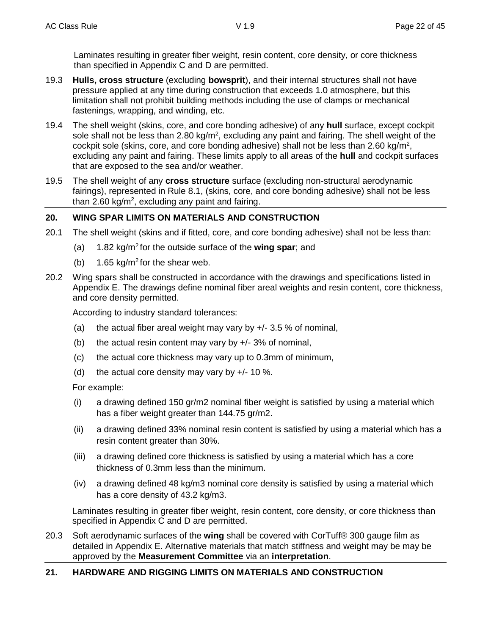Laminates resulting in greater fiber weight, resin content, core density, or core thickness than specified in Appendix C and D are permitted.

- 19.3 **Hulls, cross structure** (excluding **bowsprit**), and their internal structures shall not have pressure applied at any time during construction that exceeds 1.0 atmosphere, but this limitation shall not prohibit building methods including the use of clamps or mechanical fastenings, wrapping, and winding, etc.
- 19.4 The shell weight (skins, core, and core bonding adhesive) of any **hull** surface, except cockpit sole shall not be less than 2.80 kg/m<sup>2</sup>, excluding any paint and fairing. The shell weight of the cockpit sole (skins, core, and core bonding adhesive) shall not be less than 2.60 kg/m<sup>2</sup>, excluding any paint and fairing. These limits apply to all areas of the **hull** and cockpit surfaces that are exposed to the sea and/or weather.
- 19.5 The shell weight of any **cross structure** surface (excluding non-structural aerodynamic fairings), represented in Rule 8.1, (skins, core, and core bonding adhesive) shall not be less than 2.60 kg/m<sup>2</sup>, excluding any paint and fairing.

#### **20. WING SPAR LIMITS ON MATERIALS AND CONSTRUCTION**

- 20.1 The shell weight (skins and if fitted, core, and core bonding adhesive) shall not be less than:
	- (a) 1.82 kg/m<sup>2</sup> for the outside surface of the **wing spar**; and
	- (b) 1.65 kg/m<sup>2</sup> for the shear web.
- 20.2 Wing spars shall be constructed in accordance with the drawings and specifications listed in Appendix E. The drawings define nominal fiber areal weights and resin content, core thickness, and core density permitted.

According to industry standard tolerances:

- (a) the actual fiber areal weight may vary by  $+/-$  3.5 % of nominal,
- (b) the actual resin content may vary by  $+/- 3\%$  of nominal,
- (c) the actual core thickness may vary up to 0.3mm of minimum,
- (d) the actual core density may vary by  $+/- 10$  %.

For example:

- (i) a drawing defined 150 gr/m2 nominal fiber weight is satisfied by using a material which has a fiber weight greater than 144.75 gr/m2.
- (ii) a drawing defined 33% nominal resin content is satisfied by using a material which has a resin content greater than 30%.
- (iii) a drawing defined core thickness is satisfied by using a material which has a core thickness of 0.3mm less than the minimum.
- (iv) a drawing defined 48 kg/m3 nominal core density is satisfied by using a material which has a core density of 43.2 kg/m3.

Laminates resulting in greater fiber weight, resin content, core density, or core thickness than specified in Appendix C and D are permitted.

20.3 Soft aerodynamic surfaces of the **wing** shall be covered with CorTuff® 300 gauge film as detailed in Appendix E. Alternative materials that match stiffness and weight may be may be approved by the **Measurement Committee** via an **interpretation**.

#### **21. HARDWARE AND RIGGING LIMITS ON MATERIALS AND CONSTRUCTION**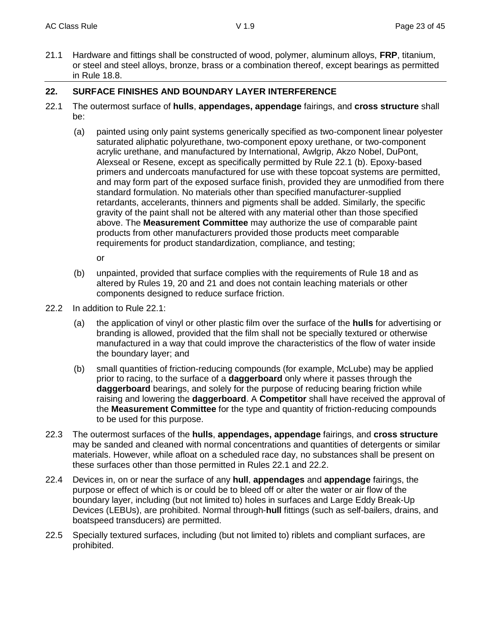21.1 Hardware and fittings shall be constructed of wood, polymer, aluminum alloys, **FRP**, titanium, or steel and steel alloys, bronze, brass or a combination thereof, except bearings as permitted in Rule 18.8.

#### **22. SURFACE FINISHES AND BOUNDARY LAYER INTERFERENCE**

- 22.1 The outermost surface of **hulls**, **appendages, appendage** fairings, and **cross structure** shall be:
	- (a) painted using only paint systems generically specified as two-component linear polyester saturated aliphatic polyurethane, two-component epoxy urethane, or two-component acrylic urethane, and manufactured by International, Awlgrip, Akzo Nobel, DuPont, Alexseal or Resene, except as specifically permitted by Rule 22.1 (b). Epoxy-based primers and undercoats manufactured for use with these topcoat systems are permitted, and may form part of the exposed surface finish, provided they are unmodified from there standard formulation. No materials other than specified manufacturer-supplied retardants, accelerants, thinners and pigments shall be added. Similarly, the specific gravity of the paint shall not be altered with any material other than those specified above. The **Measurement Committee** may authorize the use of comparable paint products from other manufacturers provided those products meet comparable requirements for product standardization, compliance, and testing;

or

- (b) unpainted, provided that surface complies with the requirements of Rule 18 and as altered by Rules 19, 20 and 21 and does not contain leaching materials or other components designed to reduce surface friction.
- 22.2 In addition to Rule 22.1:
	- (a) the application of vinyl or other plastic film over the surface of the **hulls** for advertising or branding is allowed, provided that the film shall not be specially textured or otherwise manufactured in a way that could improve the characteristics of the flow of water inside the boundary layer; and
	- (b) small quantities of friction-reducing compounds (for example, McLube) may be applied prior to racing, to the surface of a **daggerboard** only where it passes through the **daggerboard** bearings, and solely for the purpose of reducing bearing friction while raising and lowering the **daggerboard**. A **Competitor** shall have received the approval of the **Measurement Committee** for the type and quantity of friction-reducing compounds to be used for this purpose.
- 22.3 The outermost surfaces of the **hulls**, **appendages, appendage** fairings, and **cross structure** may be sanded and cleaned with normal concentrations and quantities of detergents or similar materials. However, while afloat on a scheduled race day, no substances shall be present on these surfaces other than those permitted in Rules 22.1 and 22.2.
- 22.4 Devices in, on or near the surface of any **hull**, **appendages** and **appendage** fairings, the purpose or effect of which is or could be to bleed off or alter the water or air flow of the boundary layer, including (but not limited to) holes in surfaces and Large Eddy Break-Up Devices (LEBUs), are prohibited. Normal through-**hull** fittings (such as self-bailers, drains, and boatspeed transducers) are permitted.
- 22.5 Specially textured surfaces, including (but not limited to) riblets and compliant surfaces, are prohibited.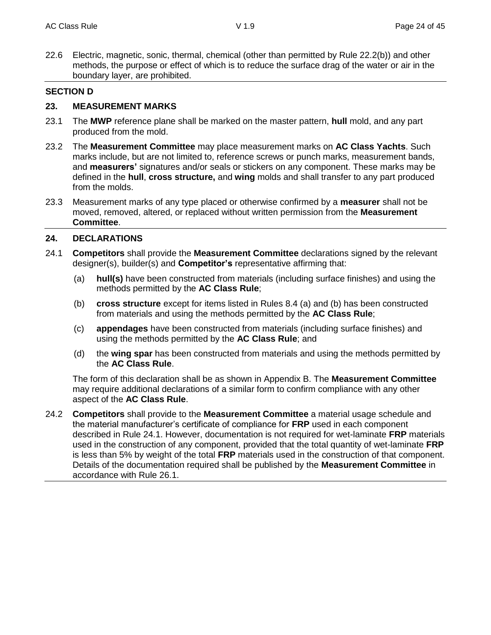22.6 Electric, magnetic, sonic, thermal, chemical (other than permitted by Rule 22.2(b)) and other methods, the purpose or effect of which is to reduce the surface drag of the water or air in the boundary layer, are prohibited.

#### **SECTION D**

#### **23. MEASUREMENT MARKS**

- 23.1 The **MWP** reference plane shall be marked on the master pattern, **hull** mold, and any part produced from the mold.
- 23.2 The **Measurement Committee** may place measurement marks on **AC Class Yachts**. Such marks include, but are not limited to, reference screws or punch marks, measurement bands, and **measurers'** signatures and/or seals or stickers on any component. These marks may be defined in the **hull**, **cross structure,** and **wing** molds and shall transfer to any part produced from the molds.
- 23.3 Measurement marks of any type placed or otherwise confirmed by a **measurer** shall not be moved, removed, altered, or replaced without written permission from the **Measurement Committee**.

#### **24. DECLARATIONS**

- 24.1 **Competitors** shall provide the **Measurement Committee** declarations signed by the relevant designer(s), builder(s) and **Competitor's** representative affirming that:
	- (a) **hull(s)** have been constructed from materials (including surface finishes) and using the methods permitted by the **AC Class Rule**;
	- (b) **cross structure** except for items listed in Rules 8.4 (a) and (b) has been constructed from materials and using the methods permitted by the **AC Class Rule**;
	- (c) **appendages** have been constructed from materials (including surface finishes) and using the methods permitted by the **AC Class Rule**; and
	- (d) the **wing spar** has been constructed from materials and using the methods permitted by the **AC Class Rule**.

The form of this declaration shall be as shown in Appendix B. The **Measurement Committee** may require additional declarations of a similar form to confirm compliance with any other aspect of the **AC Class Rule**.

24.2 **Competitors** shall provide to the **Measurement Committee** a material usage schedule and the material manufacturer's certificate of compliance for **FRP** used in each component described in Rule 24.1. However, documentation is not required for wet-laminate **FRP** materials used in the construction of any component, provided that the total quantity of wet-laminate **FRP** is less than 5% by weight of the total **FRP** materials used in the construction of that component. Details of the documentation required shall be published by the **Measurement Committee** in accordance with Rule 26.1.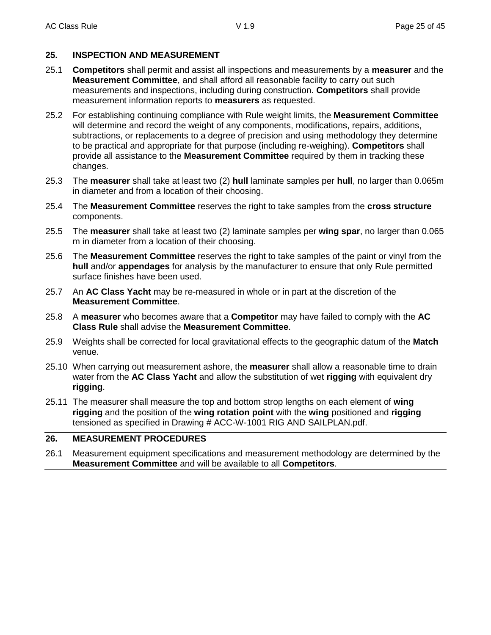#### **25. INSPECTION AND MEASUREMENT**

- 25.1 **Competitors** shall permit and assist all inspections and measurements by a **measurer** and the **Measurement Committee**, and shall afford all reasonable facility to carry out such measurements and inspections, including during construction. **Competitors** shall provide measurement information reports to **measurers** as requested.
- 25.2 For establishing continuing compliance with Rule weight limits, the **Measurement Committee** will determine and record the weight of any components, modifications, repairs, additions, subtractions, or replacements to a degree of precision and using methodology they determine to be practical and appropriate for that purpose (including re-weighing). **Competitors** shall provide all assistance to the **Measurement Committee** required by them in tracking these changes.
- 25.3 The **measurer** shall take at least two (2) **hull** laminate samples per **hull**, no larger than 0.065m in diameter and from a location of their choosing.
- 25.4 The **Measurement Committee** reserves the right to take samples from the **cross structure** components.
- 25.5 The **measurer** shall take at least two (2) laminate samples per **wing spar**, no larger than 0.065 m in diameter from a location of their choosing.
- 25.6 The **Measurement Committee** reserves the right to take samples of the paint or vinyl from the **hull** and/or **appendages** for analysis by the manufacturer to ensure that only Rule permitted surface finishes have been used.
- 25.7 An **AC Class Yacht** may be re-measured in whole or in part at the discretion of the **Measurement Committee**.
- 25.8 A **measurer** who becomes aware that a **Competitor** may have failed to comply with the **AC Class Rule** shall advise the **Measurement Committee**.
- 25.9 Weights shall be corrected for local gravitational effects to the geographic datum of the **Match** venue.
- 25.10 When carrying out measurement ashore, the **measurer** shall allow a reasonable time to drain water from the **AC Class Yacht** and allow the substitution of wet **rigging** with equivalent dry **rigging**.
- 25.11 The measurer shall measure the top and bottom strop lengths on each element of **wing rigging** and the position of the **wing rotation point** with the **wing** positioned and **rigging** tensioned as specified in Drawing # ACC-W-1001 RIG AND SAILPLAN.pdf.

## **26. MEASUREMENT PROCEDURES**

26.1 Measurement equipment specifications and measurement methodology are determined by the **Measurement Committee** and will be available to all **Competitors**.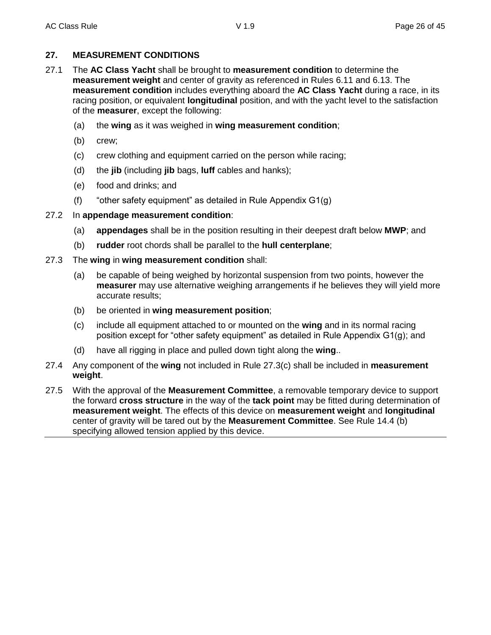#### **27. MEASUREMENT CONDITIONS**

- 27.1 The **AC Class Yacht** shall be brought to **measurement condition** to determine the **measurement weight** and center of gravity as referenced in Rules 6.11 and 6.13. The **measurement condition** includes everything aboard the **AC Class Yacht** during a race, in its racing position, or equivalent **longitudinal** position, and with the yacht level to the satisfaction of the **measurer**, except the following:
	- (a) the **wing** as it was weighed in **wing measurement condition**;
	- (b) crew;
	- (c) crew clothing and equipment carried on the person while racing;
	- (d) the **jib** (including **jib** bags, **luff** cables and hanks);
	- (e) food and drinks; and
	- (f) "other safety equipment" as detailed in Rule Appendix G1(g)

#### 27.2 In **appendage measurement condition**:

- (a) **appendages** shall be in the position resulting in their deepest draft below **MWP**; and
- (b) **rudder** root chords shall be parallel to the **hull centerplane**;
- 27.3 The **wing** in **wing measurement condition** shall:
	- (a) be capable of being weighed by horizontal suspension from two points, however the **measurer** may use alternative weighing arrangements if he believes they will yield more accurate results;
	- (b) be oriented in **wing measurement position**;
	- (c) include all equipment attached to or mounted on the **wing** and in its normal racing position except for "other safety equipment" as detailed in Rule Appendix G1(g); and
	- (d) have all rigging in place and pulled down tight along the **wing**..
- 27.4 Any component of the **wing** not included in Rule 27.3(c) shall be included in **measurement weight**.
- 27.5 With the approval of the **Measurement Committee**, a removable temporary device to support the forward **cross structure** in the way of the **tack point** may be fitted during determination of **measurement weight**. The effects of this device on **measurement weight** and **longitudinal** center of gravity will be tared out by the **Measurement Committee**. See Rule 14.4 (b) specifying allowed tension applied by this device.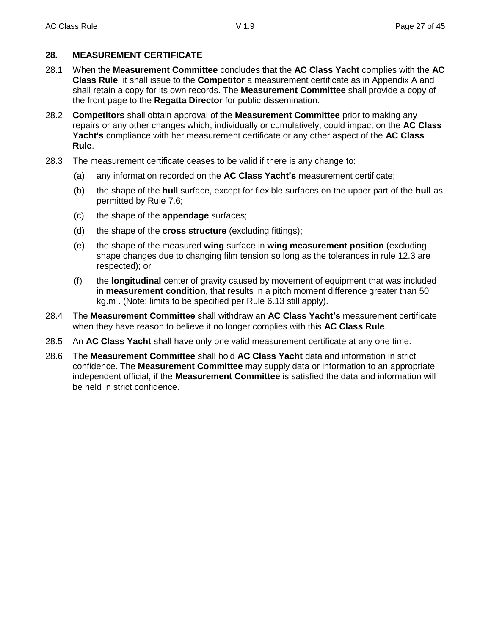#### **28. MEASUREMENT CERTIFICATE**

- 28.1 When the **Measurement Committee** concludes that the **AC Class Yacht** complies with the **AC Class Rule**, it shall issue to the **Competitor** a measurement certificate as in Appendix A and shall retain a copy for its own records. The **Measurement Committee** shall provide a copy of the front page to the **Regatta Director** for public dissemination.
- 28.2 **Competitors** shall obtain approval of the **Measurement Committee** prior to making any repairs or any other changes which, individually or cumulatively, could impact on the **AC Class Yacht's** compliance with her measurement certificate or any other aspect of the **AC Class Rule**.
- 28.3 The measurement certificate ceases to be valid if there is any change to:
	- (a) any information recorded on the **AC Class Yacht's** measurement certificate;
	- (b) the shape of the **hull** surface, except for flexible surfaces on the upper part of the **hull** as permitted by Rule 7.6;
	- (c) the shape of the **appendage** surfaces;
	- (d) the shape of the **cross structure** (excluding fittings);
	- (e) the shape of the measured **wing** surface in **wing measurement position** (excluding shape changes due to changing film tension so long as the tolerances in rule 12.3 are respected); or
	- (f) the **longitudinal** center of gravity caused by movement of equipment that was included in **measurement condition**, that results in a pitch moment difference greater than 50 kg.m . (Note: limits to be specified per Rule 6.13 still apply).
- 28.4 The **Measurement Committee** shall withdraw an **AC Class Yacht's** measurement certificate when they have reason to believe it no longer complies with this **AC Class Rule**.
- 28.5 An **AC Class Yacht** shall have only one valid measurement certificate at any one time.
- 28.6 The **Measurement Committee** shall hold **AC Class Yacht** data and information in strict confidence. The **Measurement Committee** may supply data or information to an appropriate independent official, if the **Measurement Committee** is satisfied the data and information will be held in strict confidence.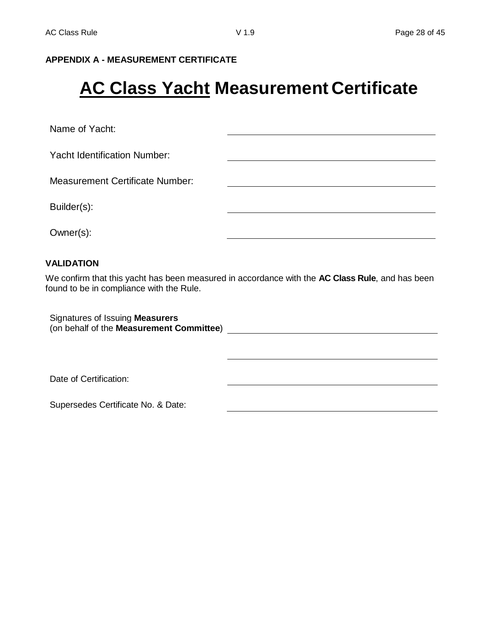#### **APPENDIX A - MEASUREMENT CERTIFICATE**

## **AC Class Yacht Measurement Certificate**

Name of Yacht:

Yacht Identification Number:

Measurement Certificate Number:

Builder(s):

Owner(s):

#### **VALIDATION**

We confirm that this yacht has been measured in accordance with the **AC Class Rule**, and has been found to be in compliance with the Rule.

Signatures of Issuing **Measurers** (on behalf of the **Measurement Committee**)

Date of Certification:

Supersedes Certificate No. & Date: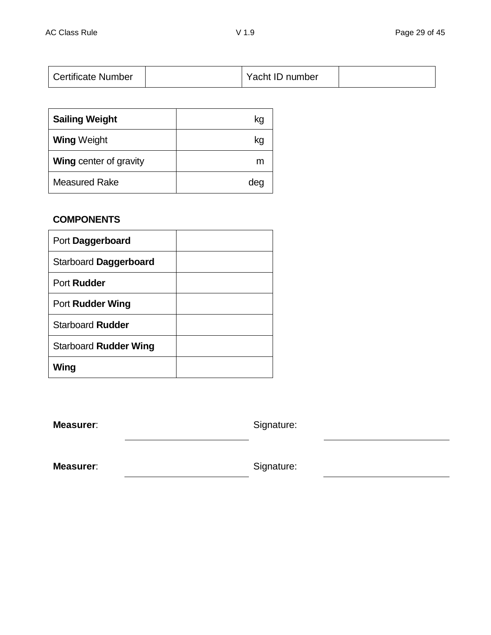| <b>Certificate Number</b> |  | Yacht ID number |  |
|---------------------------|--|-----------------|--|
|---------------------------|--|-----------------|--|

| <b>Sailing Weight</b>         | kg  |
|-------------------------------|-----|
| <b>Wing Weight</b>            | kg  |
| <b>Wing center of gravity</b> | m   |
| <b>Measured Rake</b>          | dec |

## **COMPONENTS**

| Port Daggerboard        |  |
|-------------------------|--|
| Starboard Daggerboard   |  |
| Port Rudder             |  |
| Port Rudder Wing        |  |
| <b>Starboard Rudder</b> |  |
| Starboard Rudder Wing   |  |
| Wing                    |  |

**Measurer:** Signature:

**Measurer:** Signature: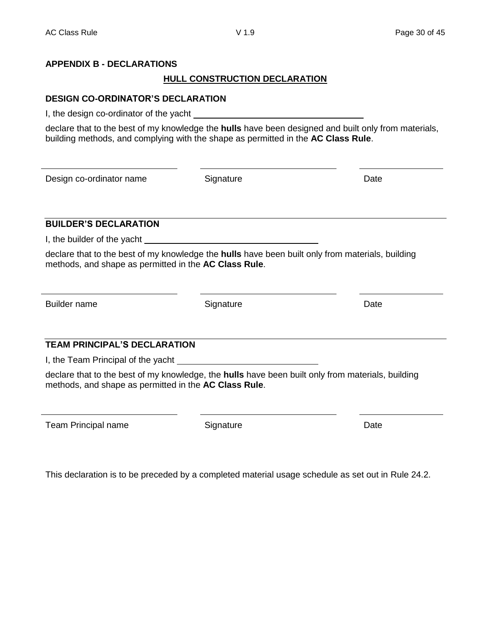## **APPENDIX B - DECLARATIONS**

## **HULL CONSTRUCTION DECLARATION**

## **DESIGN CO-ORDINATOR'S DECLARATION**

I, the design co-ordinator of the yacht

declare that to the best of my knowledge the **hulls** have been designed and built only from materials, building methods, and complying with the shape as permitted in the **AC Class Rule**.

Design co-ordinator name Signature Date

## **BUILDER'S DECLARATION**

I, the builder of the yacht

declare that to the best of my knowledge the **hulls** have been built only from materials, building methods, and shape as permitted in the **AC Class Rule**.

Builder name **Signature Contact Exercise Signature Contact Exercise Signature Date** 

## **TEAM PRINCIPAL'S DECLARATION**

I, the Team Principal of the yacht

declare that to the best of my knowledge, the **hulls** have been built only from materials, building methods, and shape as permitted in the **AC Class Rule**.

Team Principal name **Signature** Signature **Date** Date

This declaration is to be preceded by a completed material usage schedule as set out in Rule 24.2.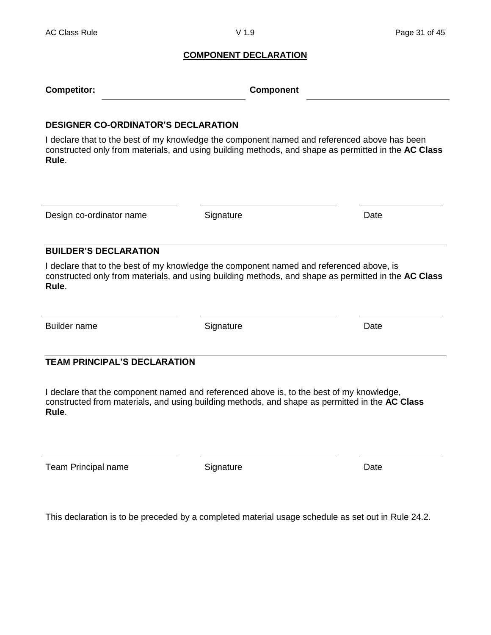#### **COMPONENT DECLARATION**

| <b>Competitor:</b> | <b>Component</b> |
|--------------------|------------------|
|                    |                  |

#### **DESIGNER CO-ORDINATOR'S DECLARATION**

I declare that to the best of my knowledge the component named and referenced above has been constructed only from materials, and using building methods, and shape as permitted in the **AC Class Rule**.

Design co-ordinator name Signature Date

#### **BUILDER'S DECLARATION**

I declare that to the best of my knowledge the component named and referenced above, is constructed only from materials, and using building methods, and shape as permitted in the **AC Class Rule**.

Builder name **Signature Contact System Contact Contact Contact Contact Contact Contact Contact Contact Contact Contact Contact Contact Contact Contact Contact Contact Contact Contact Contact Contact Contact Contact Conta** 

#### **TEAM PRINCIPAL'S DECLARATION**

I declare that the component named and referenced above is, to the best of my knowledge, constructed from materials, and using building methods, and shape as permitted in the **AC Class Rule**.

Team Principal name **Signature** Signature **Date** Date

This declaration is to be preceded by a completed material usage schedule as set out in Rule 24.2.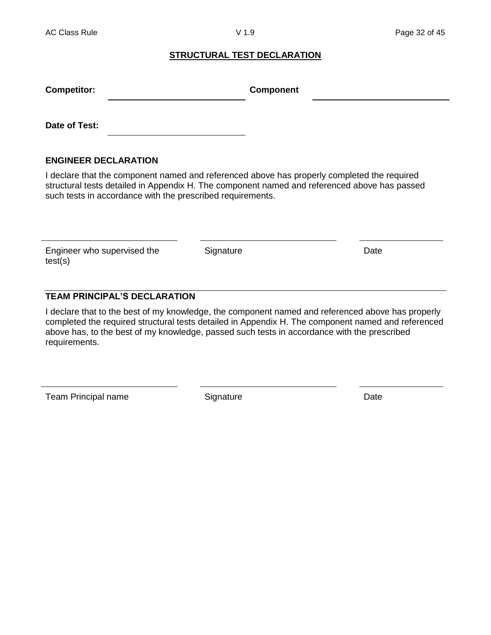#### **STRUCTURAL TEST DECLARATION**

| <b>Competitor:</b>          | <b>Component</b> |  |
|-----------------------------|------------------|--|
| Date of Test:               |                  |  |
| <b>ENGINEER DECLARATION</b> |                  |  |

I declare that the component named and referenced above has properly completed the required structural tests detailed in Appendix H. The component named and referenced above has passed such tests in accordance with the prescribed requirements.

Engineer who supervised the test(s)

Signature Date

## **TEAM PRINCIPAL'S DECLARATION**

I declare that to the best of my knowledge, the component named and referenced above has properly completed the required structural tests detailed in Appendix H. The component named and referenced above has, to the best of my knowledge, passed such tests in accordance with the prescribed requirements.

Team Principal name Signature Signature Date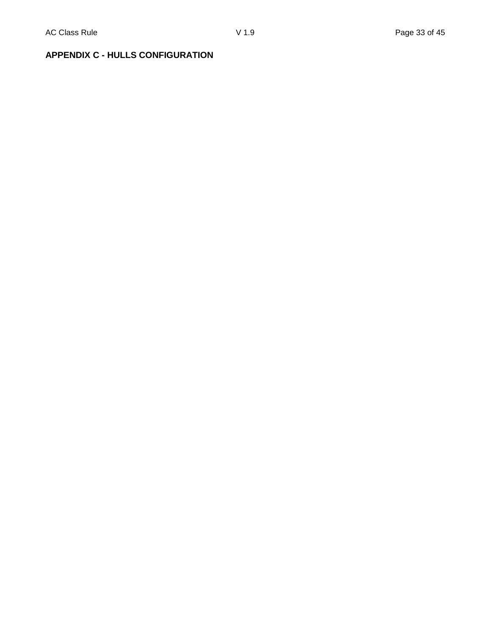## **APPENDIX C - HULLS CONFIGURATION**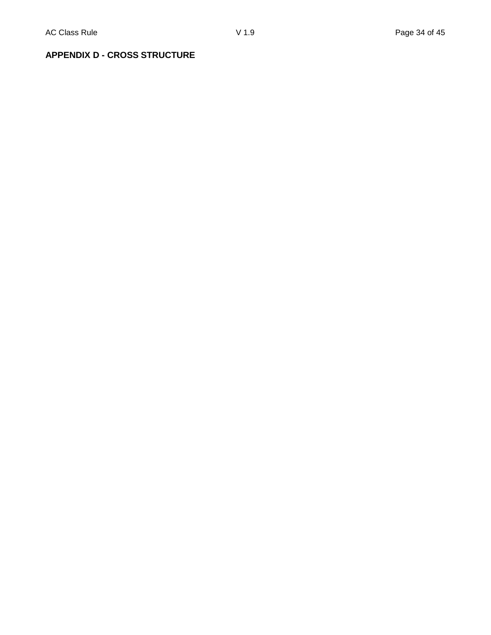## **APPENDIX D - CROSS STRUCTURE**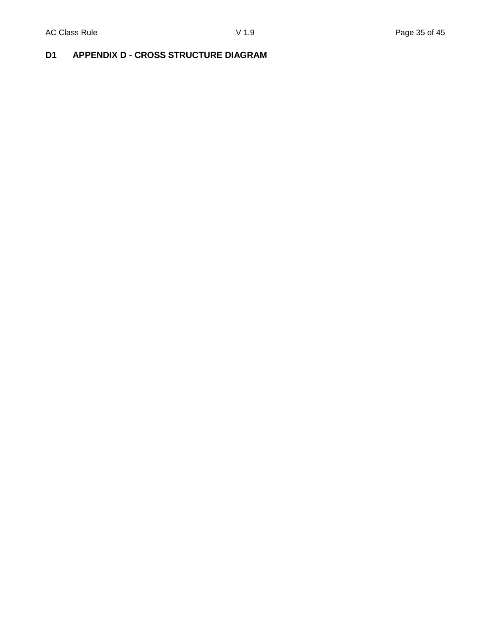## **D1 APPENDIX D - CROSS STRUCTURE DIAGRAM**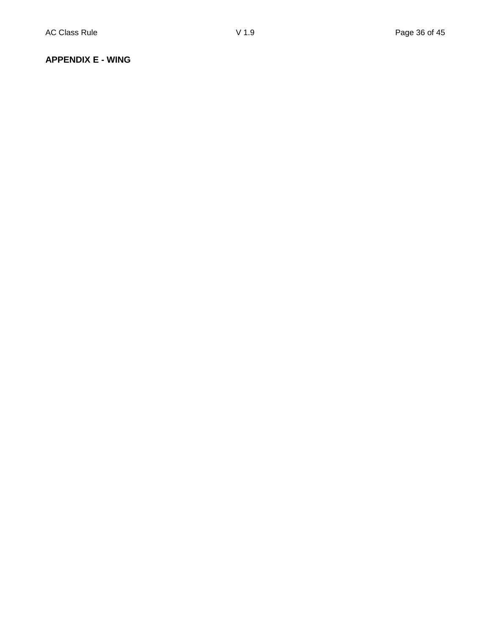#### **APPENDIX E - WING**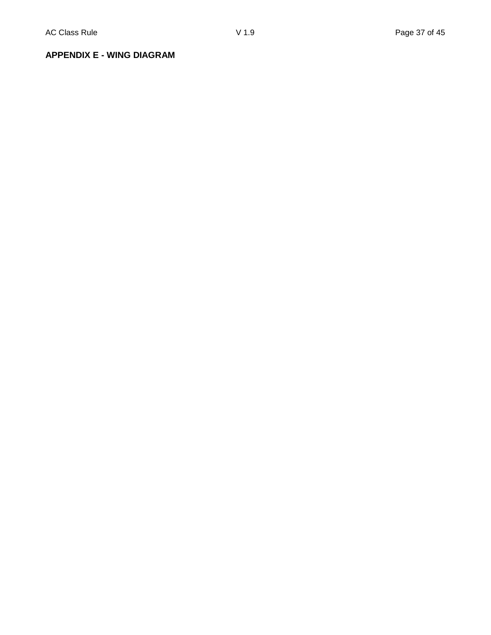**APPENDIX E - WING DIAGRAM**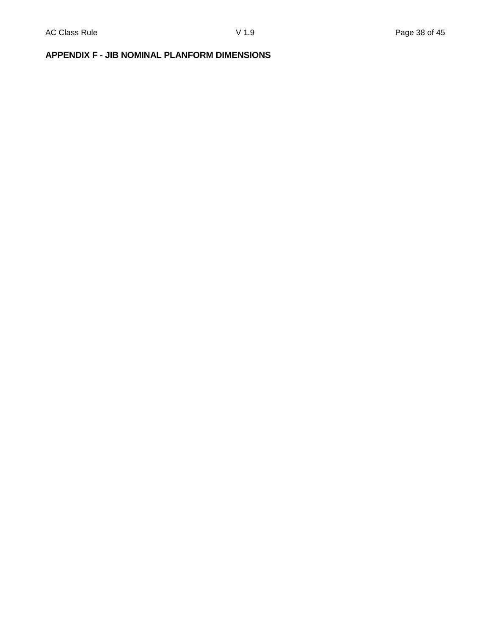## **APPENDIX F - JIB NOMINAL PLANFORM DIMENSIONS**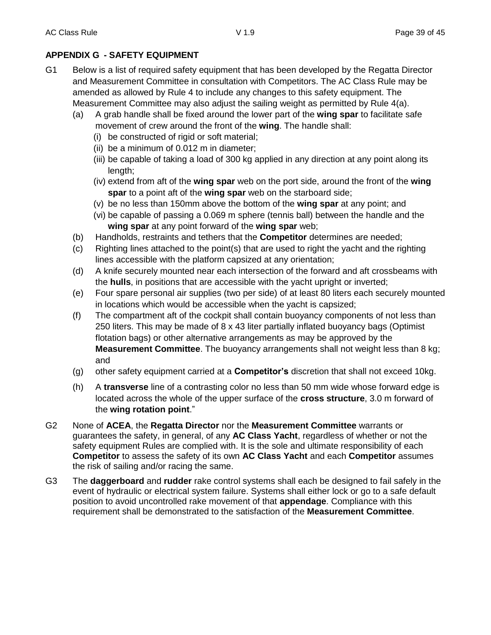## **APPENDIX G - SAFETY EQUIPMENT**

- G1 Below is a list of required safety equipment that has been developed by the Regatta Director and Measurement Committee in consultation with Competitors. The AC Class Rule may be amended as allowed by Rule 4 to include any changes to this safety equipment. The Measurement Committee may also adjust the sailing weight as permitted by Rule 4(a).
	- (a) A grab handle shall be fixed around the lower part of the **wing spar** to facilitate safe movement of crew around the front of the **wing**. The handle shall:
		- (i) be constructed of rigid or soft material;
		- (ii) be a minimum of 0.012 m in diameter;
		- (iii) be capable of taking a load of 300 kg applied in any direction at any point along its length;
		- (iv) extend from aft of the **wing spar** web on the port side, around the front of the **wing spar** to a point aft of the **wing spar** web on the starboard side;
		- (v) be no less than 150mm above the bottom of the **wing spar** at any point; and
		- (vi) be capable of passing a 0.069 m sphere (tennis ball) between the handle and the **wing spar** at any point forward of the **wing spar** web;
	- (b) Handholds, restraints and tethers that the **Competitor** determines are needed;
	- (c) Righting lines attached to the point(s) that are used to right the yacht and the righting lines accessible with the platform capsized at any orientation;
	- (d) A knife securely mounted near each intersection of the forward and aft crossbeams with the **hulls**, in positions that are accessible with the yacht upright or inverted;
	- (e) Four spare personal air supplies (two per side) of at least 80 liters each securely mounted in locations which would be accessible when the yacht is capsized;
	- (f) The compartment aft of the cockpit shall contain buoyancy components of not less than 250 liters. This may be made of 8 x 43 liter partially inflated buoyancy bags (Optimist flotation bags) or other alternative arrangements as may be approved by the **Measurement Committee**. The buoyancy arrangements shall not weight less than 8 kg; and
	- (g) other safety equipment carried at a **Competitor's** discretion that shall not exceed 10kg.
	- (h) A **transverse** line of a contrasting color no less than 50 mm wide whose forward edge is located across the whole of the upper surface of the **cross structure**, 3.0 m forward of the **wing rotation point**."
- G2 None of **ACEA**, the **Regatta Director** nor the **Measurement Committee** warrants or guarantees the safety, in general, of any **AC Class Yacht**, regardless of whether or not the safety equipment Rules are complied with. It is the sole and ultimate responsibility of each **Competitor** to assess the safety of its own **AC Class Yacht** and each **Competitor** assumes the risk of sailing and/or racing the same.
- G3 The **daggerboard** and **rudder** rake control systems shall each be designed to fail safely in the event of hydraulic or electrical system failure. Systems shall either lock or go to a safe default position to avoid uncontrolled rake movement of that **appendage**. Compliance with this requirement shall be demonstrated to the satisfaction of the **Measurement Committee**.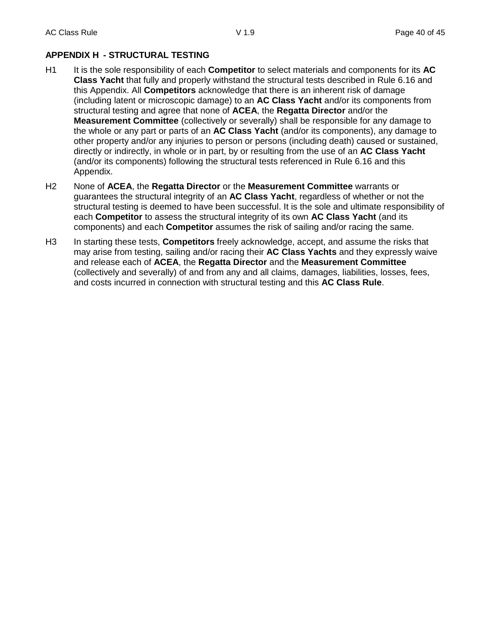## **APPENDIX H - STRUCTURAL TESTING**

- H1 It is the sole responsibility of each **Competitor** to select materials and components for its **AC Class Yacht** that fully and properly withstand the structural tests described in Rule 6.16 and this Appendix. All **Competitors** acknowledge that there is an inherent risk of damage (including latent or microscopic damage) to an **AC Class Yacht** and/or its components from structural testing and agree that none of **ACEA**, the **Regatta Director** and/or the **Measurement Committee** (collectively or severally) shall be responsible for any damage to the whole or any part or parts of an **AC Class Yacht** (and/or its components), any damage to other property and/or any injuries to person or persons (including death) caused or sustained, directly or indirectly, in whole or in part, by or resulting from the use of an **AC Class Yacht** (and/or its components) following the structural tests referenced in Rule 6.16 and this Appendix.
- H2 None of **ACEA**, the **Regatta Director** or the **Measurement Committee** warrants or guarantees the structural integrity of an **AC Class Yacht**, regardless of whether or not the structural testing is deemed to have been successful. It is the sole and ultimate responsibility of each **Competitor** to assess the structural integrity of its own **AC Class Yacht** (and its components) and each **Competitor** assumes the risk of sailing and/or racing the same.
- H3 In starting these tests, **Competitors** freely acknowledge, accept, and assume the risks that may arise from testing, sailing and/or racing their **AC Class Yachts** and they expressly waive and release each of **ACEA**, the **Regatta Director** and the **Measurement Committee** (collectively and severally) of and from any and all claims, damages, liabilities, losses, fees, and costs incurred in connection with structural testing and this **AC Class Rule**.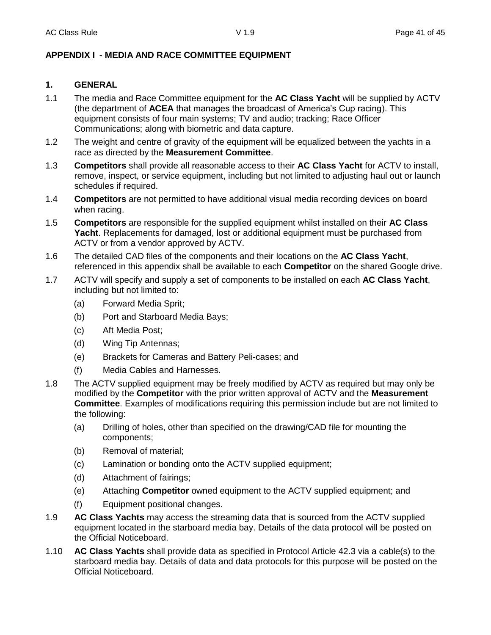#### **APPENDIX I - MEDIA AND RACE COMMITTEE EQUIPMENT**

#### **1. GENERAL**

- 1.1 The media and Race Committee equipment for the **AC Class Yacht** will be supplied by ACTV (the department of **ACEA** that manages the broadcast of America's Cup racing). This equipment consists of four main systems; TV and audio; tracking; Race Officer Communications; along with biometric and data capture.
- 1.2 The weight and centre of gravity of the equipment will be equalized between the yachts in a race as directed by the **Measurement Committee**.
- 1.3 **Competitors** shall provide all reasonable access to their **AC Class Yacht** for ACTV to install, remove, inspect, or service equipment, including but not limited to adjusting haul out or launch schedules if required.
- 1.4 **Competitors** are not permitted to have additional visual media recording devices on board when racing.
- 1.5 **Competitors** are responsible for the supplied equipment whilst installed on their **AC Class Yacht**. Replacements for damaged, lost or additional equipment must be purchased from ACTV or from a vendor approved by ACTV.
- 1.6 The detailed CAD files of the components and their locations on the **AC Class Yacht**, referenced in this appendix shall be available to each **Competitor** on the shared Google drive.
- 1.7 ACTV will specify and supply a set of components to be installed on each **AC Class Yacht**, including but not limited to:
	- (a) Forward Media Sprit;
	- (b) Port and Starboard Media Bays;
	- (c) Aft Media Post;
	- (d) Wing Tip Antennas;
	- (e) Brackets for Cameras and Battery Peli-cases; and
	- (f) Media Cables and Harnesses.
- 1.8 The ACTV supplied equipment may be freely modified by ACTV as required but may only be modified by the **Competitor** with the prior written approval of ACTV and the **Measurement Committee**. Examples of modifications requiring this permission include but are not limited to the following:
	- (a) Drilling of holes, other than specified on the drawing/CAD file for mounting the components;
	- (b) Removal of material;
	- (c) Lamination or bonding onto the ACTV supplied equipment;
	- (d) Attachment of fairings;
	- (e) Attaching **Competitor** owned equipment to the ACTV supplied equipment; and
	- (f) Equipment positional changes.
- 1.9 **AC Class Yachts** may access the streaming data that is sourced from the ACTV supplied equipment located in the starboard media bay. Details of the data protocol will be posted on the Official Noticeboard.
- 1.10 **AC Class Yachts** shall provide data as specified in Protocol Article 42.3 via a cable(s) to the starboard media bay. Details of data and data protocols for this purpose will be posted on the Official Noticeboard.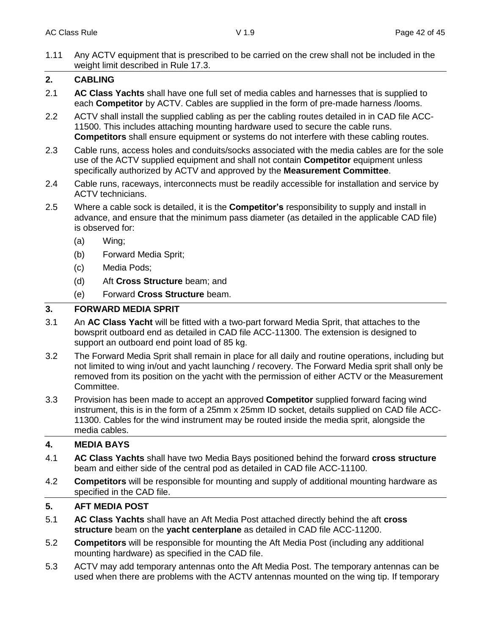1.11 Any ACTV equipment that is prescribed to be carried on the crew shall not be included in the weight limit described in Rule 17.3.

## **2. CABLING**

- 2.1 **AC Class Yachts** shall have one full set of media cables and harnesses that is supplied to each **Competitor** by ACTV. Cables are supplied in the form of pre-made harness /looms.
- 2.2 ACTV shall install the supplied cabling as per the cabling routes detailed in in CAD file ACC-11500. This includes attaching mounting hardware used to secure the cable runs. **Competitors** shall ensure equipment or systems do not interfere with these cabling routes.
- 2.3 Cable runs, access holes and conduits/socks associated with the media cables are for the sole use of the ACTV supplied equipment and shall not contain **Competitor** equipment unless specifically authorized by ACTV and approved by the **Measurement Committee**.
- 2.4 Cable runs, raceways, interconnects must be readily accessible for installation and service by ACTV technicians.
- 2.5 Where a cable sock is detailed, it is the **Competitor's** responsibility to supply and install in advance, and ensure that the minimum pass diameter (as detailed in the applicable CAD file) is observed for:
	- (a) Wing;
	- (b) Forward Media Sprit;
	- (c) Media Pods;
	- (d) Aft **Cross Structure** beam; and
	- (e) Forward **Cross Structure** beam.

## **3. FORWARD MEDIA SPRIT**

- 3.1 An **AC Class Yacht** will be fitted with a two-part forward Media Sprit, that attaches to the bowsprit outboard end as detailed in CAD file ACC-11300. The extension is designed to support an outboard end point load of 85 kg.
- 3.2 The Forward Media Sprit shall remain in place for all daily and routine operations, including but not limited to wing in/out and yacht launching / recovery. The Forward Media sprit shall only be removed from its position on the yacht with the permission of either ACTV or the Measurement Committee.
- 3.3 Provision has been made to accept an approved **Competitor** supplied forward facing wind instrument, this is in the form of a 25mm x 25mm ID socket, details supplied on CAD file ACC-11300. Cables for the wind instrument may be routed inside the media sprit, alongside the media cables.

## **4. MEDIA BAYS**

- 4.1 **AC Class Yachts** shall have two Media Bays positioned behind the forward **cross structure** beam and either side of the central pod as detailed in CAD file ACC-11100.
- 4.2 **Competitors** will be responsible for mounting and supply of additional mounting hardware as specified in the CAD file.

## **5. AFT MEDIA POST**

- 5.1 **AC Class Yachts** shall have an Aft Media Post attached directly behind the aft **cross structure** beam on the **yacht centerplane** as detailed in CAD file ACC-11200.
- 5.2 **Competitors** will be responsible for mounting the Aft Media Post (including any additional mounting hardware) as specified in the CAD file.
- 5.3 ACTV may add temporary antennas onto the Aft Media Post. The temporary antennas can be used when there are problems with the ACTV antennas mounted on the wing tip. If temporary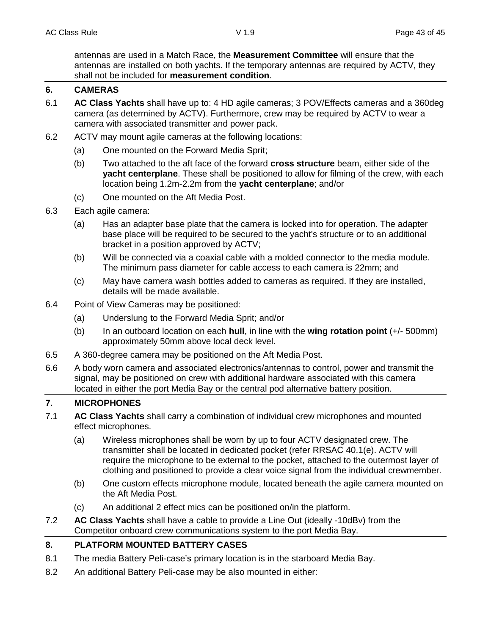antennas are used in a Match Race, the **Measurement Committee** will ensure that the antennas are installed on both yachts. If the temporary antennas are required by ACTV, they shall not be included for **measurement condition**.

## **6. CAMERAS**

- 6.1 **AC Class Yachts** shall have up to: 4 HD agile cameras; 3 POV/Effects cameras and a 360deg camera (as determined by ACTV). Furthermore, crew may be required by ACTV to wear a camera with associated transmitter and power pack.
- 6.2 ACTV may mount agile cameras at the following locations:
	- (a) One mounted on the Forward Media Sprit;
	- (b) Two attached to the aft face of the forward **cross structure** beam, either side of the **yacht centerplane**. These shall be positioned to allow for filming of the crew, with each location being 1.2m-2.2m from the **yacht centerplane**; and/or
	- (c) One mounted on the Aft Media Post.
- 6.3 Each agile camera:
	- (a) Has an adapter base plate that the camera is locked into for operation. The adapter base place will be required to be secured to the yacht's structure or to an additional bracket in a position approved by ACTV;
	- (b) Will be connected via a coaxial cable with a molded connector to the media module. The minimum pass diameter for cable access to each camera is 22mm; and
	- (c) May have camera wash bottles added to cameras as required. If they are installed, details will be made available.
- 6.4 Point of View Cameras may be positioned:
	- (a) Underslung to the Forward Media Sprit; and/or
	- (b) In an outboard location on each **hull**, in line with the **wing rotation point** (+/- 500mm) approximately 50mm above local deck level.
- 6.5 A 360-degree camera may be positioned on the Aft Media Post.
- 6.6 A body worn camera and associated electronics/antennas to control, power and transmit the signal, may be positioned on crew with additional hardware associated with this camera located in either the port Media Bay or the central pod alternative battery position.

## **7. MICROPHONES**

- 7.1 **AC Class Yachts** shall carry a combination of individual crew microphones and mounted effect microphones.
	- (a) Wireless microphones shall be worn by up to four ACTV designated crew. The transmitter shall be located in dedicated pocket (refer RRSAC 40.1(e). ACTV will require the microphone to be external to the pocket, attached to the outermost layer of clothing and positioned to provide a clear voice signal from the individual crewmember.
	- (b) One custom effects microphone module, located beneath the agile camera mounted on the Aft Media Post.
	- (c) An additional 2 effect mics can be positioned on/in the platform.
- 7.2 **AC Class Yachts** shall have a cable to provide a Line Out (ideally -10dBv) from the Competitor onboard crew communications system to the port Media Bay.

## **8. PLATFORM MOUNTED BATTERY CASES**

- 8.1 The media Battery Peli-case's primary location is in the starboard Media Bay.
- 8.2 An additional Battery Peli-case may be also mounted in either: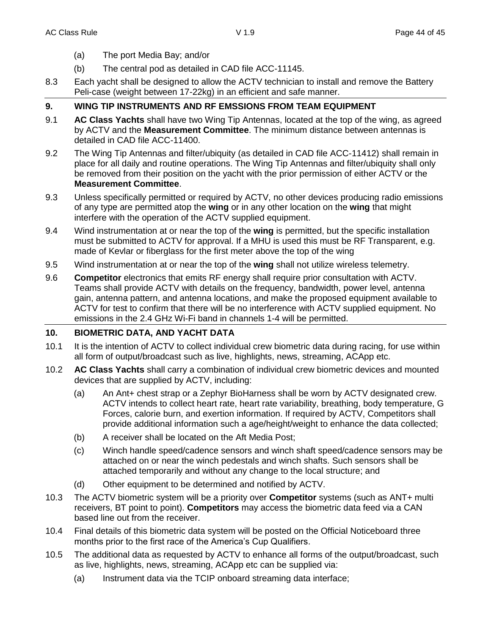- (a) The port Media Bay; and/or
- (b) The central pod as detailed in CAD file ACC-11145.
- 8.3 Each yacht shall be designed to allow the ACTV technician to install and remove the Battery Peli-case (weight between 17-22kg) in an efficient and safe manner.

## **9. WING TIP INSTRUMENTS AND RF EMSSIONS FROM TEAM EQUIPMENT**

- 9.1 **AC Class Yachts** shall have two Wing Tip Antennas, located at the top of the wing, as agreed by ACTV and the **Measurement Committee**. The minimum distance between antennas is detailed in CAD file ACC-11400.
- 9.2 The Wing Tip Antennas and filter/ubiquity (as detailed in CAD file ACC-11412) shall remain in place for all daily and routine operations. The Wing Tip Antennas and filter/ubiquity shall only be removed from their position on the yacht with the prior permission of either ACTV or the **Measurement Committee**.
- 9.3 Unless specifically permitted or required by ACTV, no other devices producing radio emissions of any type are permitted atop the **wing** or in any other location on the **wing** that might interfere with the operation of the ACTV supplied equipment.
- 9.4 Wind instrumentation at or near the top of the **wing** is permitted, but the specific installation must be submitted to ACTV for approval. If a MHU is used this must be RF Transparent, e.g. made of Kevlar or fiberglass for the first meter above the top of the wing
- 9.5 Wind instrumentation at or near the top of the **wing** shall not utilize wireless telemetry.
- 9.6 **Competitor** electronics that emits RF energy shall require prior consultation with ACTV. Teams shall provide ACTV with details on the frequency, bandwidth, power level, antenna gain, antenna pattern, and antenna locations, and make the proposed equipment available to ACTV for test to confirm that there will be no interference with ACTV supplied equipment. No emissions in the 2.4 GHz Wi-Fi band in channels 1-4 will be permitted.

## **10. BIOMETRIC DATA, AND YACHT DATA**

- 10.1 It is the intention of ACTV to collect individual crew biometric data during racing, for use within all form of output/broadcast such as live, highlights, news, streaming, ACApp etc.
- 10.2 **AC Class Yachts** shall carry a combination of individual crew biometric devices and mounted devices that are supplied by ACTV, including:
	- (a) An Ant+ chest strap or a Zephyr BioHarness shall be worn by ACTV designated crew. ACTV intends to collect heart rate, heart rate variability, breathing, body temperature, G Forces, calorie burn, and exertion information. If required by ACTV, Competitors shall provide additional information such a age/height/weight to enhance the data collected;
	- (b) A receiver shall be located on the Aft Media Post;
	- (c) Winch handle speed/cadence sensors and winch shaft speed/cadence sensors may be attached on or near the winch pedestals and winch shafts. Such sensors shall be attached temporarily and without any change to the local structure; and
	- (d) Other equipment to be determined and notified by ACTV.
- 10.3 The ACTV biometric system will be a priority over **Competitor** systems (such as ANT+ multi receivers, BT point to point). **Competitors** may access the biometric data feed via a CAN based line out from the receiver.
- 10.4 Final details of this biometric data system will be posted on the Official Noticeboard three months prior to the first race of the America's Cup Qualifiers.
- 10.5 The additional data as requested by ACTV to enhance all forms of the output/broadcast, such as live, highlights, news, streaming, ACApp etc can be supplied via:
	- (a) Instrument data via the TCIP onboard streaming data interface;